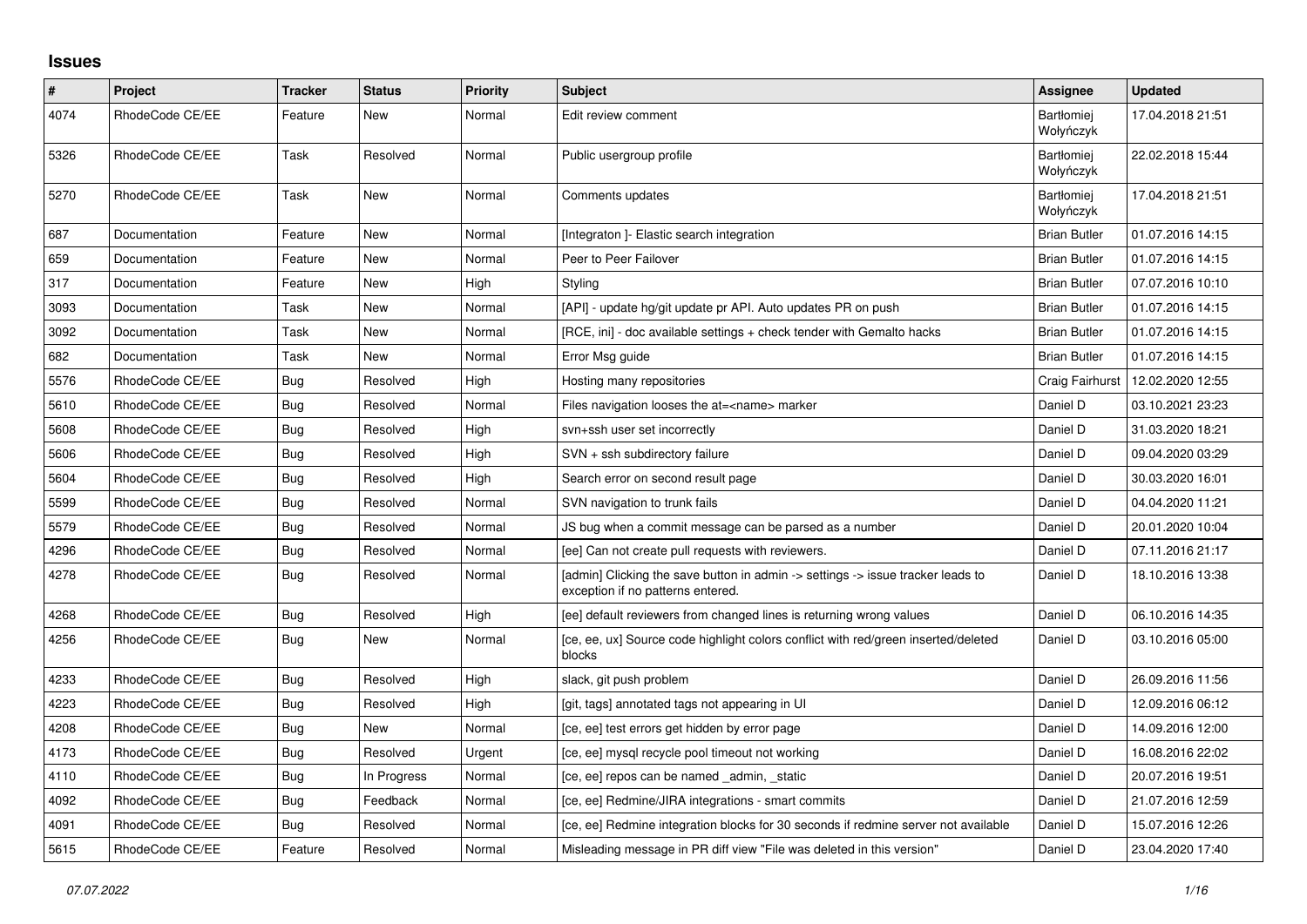## **Issues**

| $\pmb{\#}$ | Project         | <b>Tracker</b> | <b>Status</b> | <b>Priority</b> | <b>Subject</b>                                                                                                       | Assignee                       | <b>Updated</b>   |
|------------|-----------------|----------------|---------------|-----------------|----------------------------------------------------------------------------------------------------------------------|--------------------------------|------------------|
| 4074       | RhodeCode CE/EE | Feature        | New           | Normal          | Edit review comment                                                                                                  | <b>Bartłomiei</b><br>Wołyńczyk | 17.04.2018 21:51 |
| 5326       | RhodeCode CE/EE | Task           | Resolved      | Normal          | Public usergroup profile                                                                                             | <b>Bartłomiej</b><br>Wołyńczyk | 22.02.2018 15:44 |
| 5270       | RhodeCode CE/EE | Task           | New           | Normal          | Comments updates                                                                                                     | Bartłomiej<br>Wołyńczyk        | 17.04.2018 21:51 |
| 687        | Documentation   | Feature        | New           | Normal          | [Integraton] - Elastic search integration                                                                            | <b>Brian Butler</b>            | 01.07.2016 14:15 |
| 659        | Documentation   | Feature        | New           | Normal          | Peer to Peer Failover                                                                                                | <b>Brian Butler</b>            | 01.07.2016 14:15 |
| 317        | Documentation   | Feature        | New           | High            | Styling                                                                                                              | <b>Brian Butler</b>            | 07.07.2016 10:10 |
| 3093       | Documentation   | Task           | New           | Normal          | [API] - update hg/git update pr API. Auto updates PR on push                                                         | <b>Brian Butler</b>            | 01.07.2016 14:15 |
| 3092       | Documentation   | Task           | <b>New</b>    | Normal          | [RCE, ini] - doc available settings + check tender with Gemalto hacks                                                | <b>Brian Butler</b>            | 01.07.2016 14:15 |
| 682        | Documentation   | Task           | New           | Normal          | Error Msg guide                                                                                                      | <b>Brian Butler</b>            | 01.07.2016 14:15 |
| 5576       | RhodeCode CE/EE | Bug            | Resolved      | High            | Hosting many repositories                                                                                            | Craig Fairhurst                | 12.02.2020 12:55 |
| 5610       | RhodeCode CE/EE | Bug            | Resolved      | Normal          | Files navigation looses the at= <name> marker</name>                                                                 | Daniel D                       | 03.10.2021 23:23 |
| 5608       | RhodeCode CE/EE | Bug            | Resolved      | High            | svn+ssh user set incorrectly                                                                                         | Daniel D                       | 31.03.2020 18:21 |
| 5606       | RhodeCode CE/EE | Bug            | Resolved      | High            | SVN + ssh subdirectory failure                                                                                       | Daniel D                       | 09.04.2020 03:29 |
| 5604       | RhodeCode CE/EE | <b>Bug</b>     | Resolved      | High            | Search error on second result page                                                                                   | Daniel D                       | 30.03.2020 16:01 |
| 5599       | RhodeCode CE/EE | <b>Bug</b>     | Resolved      | Normal          | SVN navigation to trunk fails                                                                                        | Daniel D                       | 04.04.2020 11:21 |
| 5579       | RhodeCode CE/EE | Bug            | Resolved      | Normal          | JS bug when a commit message can be parsed as a number                                                               | Daniel D                       | 20.01.2020 10:04 |
| 4296       | RhodeCode CE/EE | Bug            | Resolved      | Normal          | [ee] Can not create pull requests with reviewers.                                                                    | Daniel D                       | 07.11.2016 21:17 |
| 4278       | RhodeCode CE/EE | <b>Bug</b>     | Resolved      | Normal          | [admin] Clicking the save button in admin -> settings -> issue tracker leads to<br>exception if no patterns entered. | Daniel D                       | 18.10.2016 13:38 |
| 4268       | RhodeCode CE/EE | <b>Bug</b>     | Resolved      | High            | [ee] default reviewers from changed lines is returning wrong values                                                  | Daniel D                       | 06.10.2016 14:35 |
| 4256       | RhodeCode CE/EE | <b>Bug</b>     | New           | Normal          | [ce, ee, ux] Source code highlight colors conflict with red/green inserted/deleted<br>blocks                         | Daniel D                       | 03.10.2016 05:00 |
| 4233       | RhodeCode CE/EE | Bug            | Resolved      | High            | slack, git push problem                                                                                              | Daniel D                       | 26.09.2016 11:56 |
| 4223       | RhodeCode CE/EE | Bug            | Resolved      | High            | [git, tags] annotated tags not appearing in UI                                                                       | Daniel D                       | 12.09.2016 06:12 |
| 4208       | RhodeCode CE/EE | Bug            | New           | Normal          | [ce, ee] test errors get hidden by error page                                                                        | Daniel D                       | 14.09.2016 12:00 |
| 4173       | RhodeCode CE/EE | Bug            | Resolved      | Urgent          | [ce, ee] mysql recycle pool timeout not working                                                                      | Daniel D                       | 16.08.2016 22:02 |
| 4110       | RhodeCode CE/EE | Bug            | In Progress   | Normal          | [ce, ee] repos can be named _admin, _static                                                                          | Daniel D                       | 20.07.2016 19:51 |
| 4092       | RhodeCode CE/EE | <b>Bug</b>     | Feedback      | Normal          | [ce, ee] Redmine/JIRA integrations - smart commits                                                                   | Daniel D                       | 21.07.2016 12:59 |
| 4091       | RhodeCode CE/EE | Bug            | Resolved      | Normal          | [ce, ee] Redmine integration blocks for 30 seconds if redmine server not available                                   | Daniel D                       | 15.07.2016 12:26 |
| 5615       | RhodeCode CE/EE | Feature        | Resolved      | Normal          | Misleading message in PR diff view "File was deleted in this version"                                                | Daniel D                       | 23.04.2020 17:40 |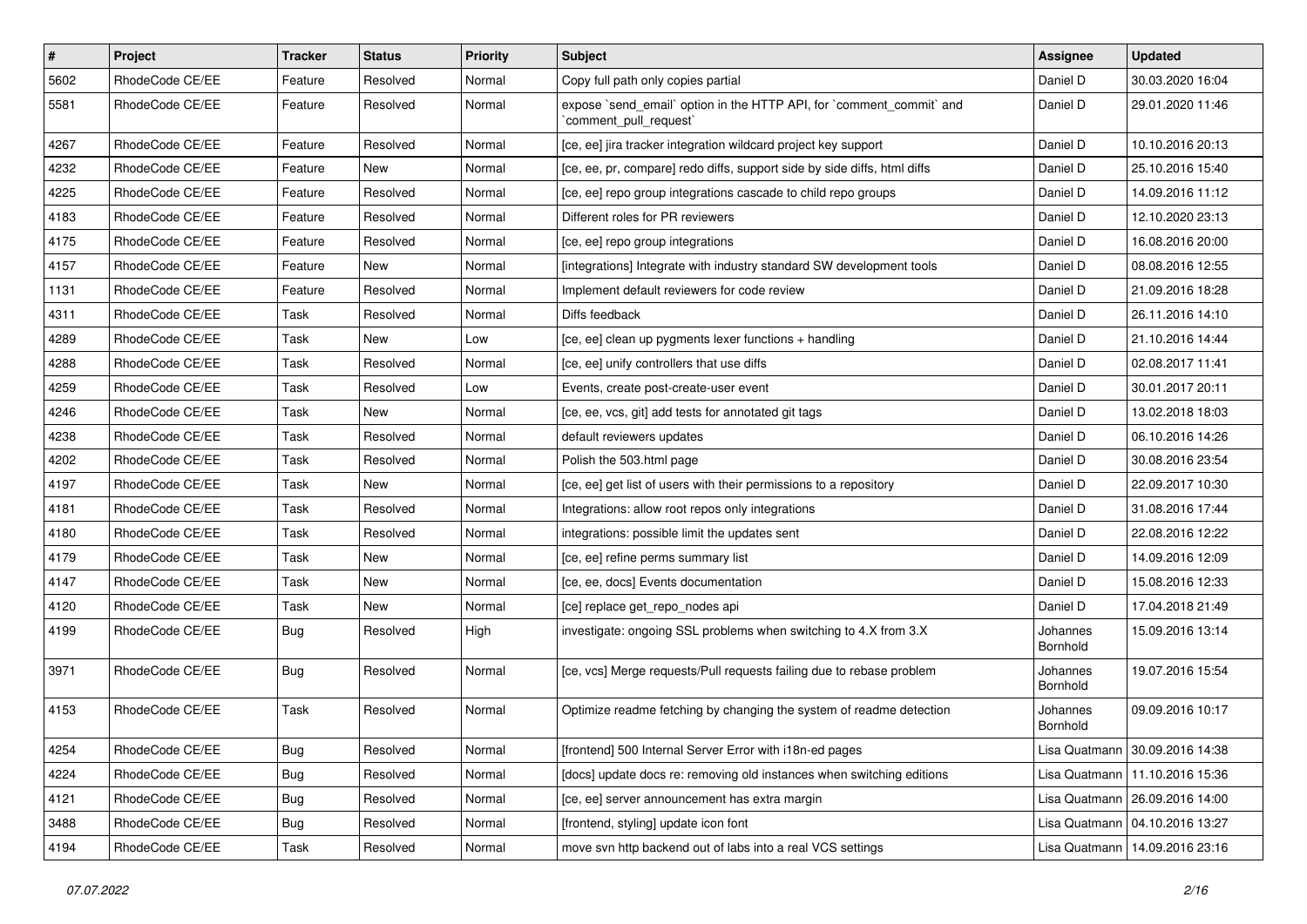| $\vert$ # | Project         | Tracker    | <b>Status</b> | <b>Priority</b> | <b>Subject</b>                                                                                 | Assignee             | <b>Updated</b>                   |
|-----------|-----------------|------------|---------------|-----------------|------------------------------------------------------------------------------------------------|----------------------|----------------------------------|
| 5602      | RhodeCode CE/EE | Feature    | Resolved      | Normal          | Copy full path only copies partial                                                             | Daniel D             | 30.03.2020 16:04                 |
| 5581      | RhodeCode CE/EE | Feature    | Resolved      | Normal          | expose `send_email` option in the HTTP API, for `comment_commit` and<br>`comment_pull_request` | Daniel D             | 29.01.2020 11:46                 |
| 4267      | RhodeCode CE/EE | Feature    | Resolved      | Normal          | [ce, ee] jira tracker integration wildcard project key support                                 | Daniel D             | 10.10.2016 20:13                 |
| 4232      | RhodeCode CE/EE | Feature    | New           | Normal          | [ce, ee, pr, compare] redo diffs, support side by side diffs, html diffs                       | Daniel D             | 25.10.2016 15:40                 |
| 4225      | RhodeCode CE/EE | Feature    | Resolved      | Normal          | [ce, ee] repo group integrations cascade to child repo groups                                  | Daniel D             | 14.09.2016 11:12                 |
| 4183      | RhodeCode CE/EE | Feature    | Resolved      | Normal          | Different roles for PR reviewers                                                               | Daniel D             | 12.10.2020 23:13                 |
| 4175      | RhodeCode CE/EE | Feature    | Resolved      | Normal          | [ce, ee] repo group integrations                                                               | Daniel D             | 16.08.2016 20:00                 |
| 4157      | RhodeCode CE/EE | Feature    | New           | Normal          | [integrations] Integrate with industry standard SW development tools                           | Daniel D             | 08.08.2016 12:55                 |
| 1131      | RhodeCode CE/EE | Feature    | Resolved      | Normal          | Implement default reviewers for code review                                                    | Daniel D             | 21.09.2016 18:28                 |
| 4311      | RhodeCode CE/EE | Task       | Resolved      | Normal          | Diffs feedback                                                                                 | Daniel D             | 26.11.2016 14:10                 |
| 4289      | RhodeCode CE/EE | Task       | New           | Low             | [ce, ee] clean up pygments lexer functions + handling                                          | Daniel D             | 21.10.2016 14:44                 |
| 4288      | RhodeCode CE/EE | Task       | Resolved      | Normal          | [ce, ee] unify controllers that use diffs                                                      | Daniel D             | 02.08.2017 11:41                 |
| 4259      | RhodeCode CE/EE | Task       | Resolved      | Low             | Events, create post-create-user event                                                          | Daniel D             | 30.01.2017 20:11                 |
| 4246      | RhodeCode CE/EE | Task       | New           | Normal          | [ce, ee, vcs, git] add tests for annotated git tags                                            | Daniel D             | 13.02.2018 18:03                 |
| 4238      | RhodeCode CE/EE | Task       | Resolved      | Normal          | default reviewers updates                                                                      | Daniel D             | 06.10.2016 14:26                 |
| 4202      | RhodeCode CE/EE | Task       | Resolved      | Normal          | Polish the 503.html page                                                                       | Daniel D             | 30.08.2016 23:54                 |
| 4197      | RhodeCode CE/EE | Task       | New           | Normal          | [ce, ee] get list of users with their permissions to a repository                              | Daniel D             | 22.09.2017 10:30                 |
| 4181      | RhodeCode CE/EE | Task       | Resolved      | Normal          | Integrations: allow root repos only integrations                                               | Daniel D             | 31.08.2016 17:44                 |
| 4180      | RhodeCode CE/EE | Task       | Resolved      | Normal          | integrations: possible limit the updates sent                                                  | Daniel D             | 22.08.2016 12:22                 |
| 4179      | RhodeCode CE/EE | Task       | New           | Normal          | [ce, ee] refine perms summary list                                                             | Daniel D             | 14.09.2016 12:09                 |
| 4147      | RhodeCode CE/EE | Task       | New           | Normal          | [ce, ee, docs] Events documentation                                                            | Daniel D             | 15.08.2016 12:33                 |
| 4120      | RhodeCode CE/EE | Task       | New           | Normal          | [ce] replace get_repo_nodes api                                                                | Daniel D             | 17.04.2018 21:49                 |
| 4199      | RhodeCode CE/EE | Bug        | Resolved      | High            | investigate: ongoing SSL problems when switching to 4.X from 3.X                               | Johannes<br>Bornhold | 15.09.2016 13:14                 |
| 3971      | RhodeCode CE/EE | <b>Bug</b> | Resolved      | Normal          | [ce, vcs] Merge requests/Pull requests failing due to rebase problem                           | Johannes<br>Bornhold | 19.07.2016 15:54                 |
| 4153      | RhodeCode CE/EE | Task       | Resolved      | Normal          | Optimize readme fetching by changing the system of readme detection                            | Johannes<br>Bornhold | 09.09.2016 10:17                 |
| 4254      | RhodeCode CE/EE | <b>Bug</b> | Resolved      | Normal          | [frontend] 500 Internal Server Error with i18n-ed pages                                        |                      | Lisa Quatmann   30.09.2016 14:38 |
| 4224      | RhodeCode CE/EE | <b>Bug</b> | Resolved      | Normal          | [docs] update docs re: removing old instances when switching editions                          |                      | Lisa Quatmann   11.10.2016 15:36 |
| 4121      | RhodeCode CE/EE | <b>Bug</b> | Resolved      | Normal          | [ce, ee] server announcement has extra margin                                                  |                      | Lisa Quatmann   26.09.2016 14:00 |
| 3488      | RhodeCode CE/EE | <b>Bug</b> | Resolved      | Normal          | [frontend, styling] update icon font                                                           |                      | Lisa Quatmann   04.10.2016 13:27 |
| 4194      | RhodeCode CE/EE | Task       | Resolved      | Normal          | move svn http backend out of labs into a real VCS settings                                     |                      | Lisa Quatmann   14.09.2016 23:16 |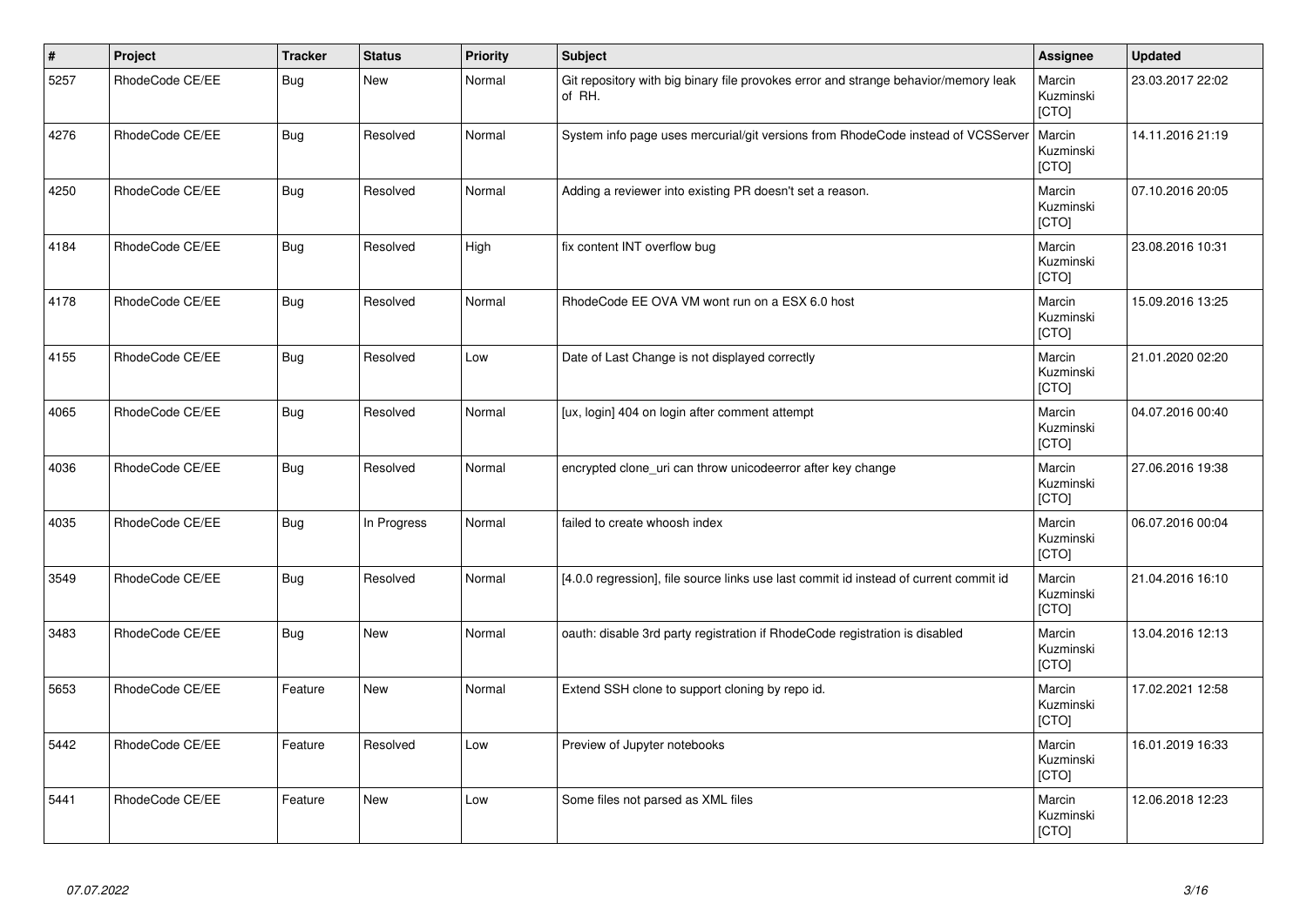| $\vert$ # | Project         | <b>Tracker</b> | <b>Status</b> | <b>Priority</b> | <b>Subject</b>                                                                                | <b>Assignee</b>                     | <b>Updated</b>   |
|-----------|-----------------|----------------|---------------|-----------------|-----------------------------------------------------------------------------------------------|-------------------------------------|------------------|
| 5257      | RhodeCode CE/EE | <b>Bug</b>     | <b>New</b>    | Normal          | Git repository with big binary file provokes error and strange behavior/memory leak<br>of RH. | Marcin<br>Kuzminski<br>[CTO]        | 23.03.2017 22:02 |
| 4276      | RhodeCode CE/EE | <b>Bug</b>     | Resolved      | Normal          | System info page uses mercurial/git versions from RhodeCode instead of VCSServer              | Marcin<br>Kuzminski<br>[CTO]        | 14.11.2016 21:19 |
| 4250      | RhodeCode CE/EE | Bug            | Resolved      | Normal          | Adding a reviewer into existing PR doesn't set a reason.                                      | Marcin<br>Kuzminski<br>[CTO]        | 07.10.2016 20:05 |
| 4184      | RhodeCode CE/EE | <b>Bug</b>     | Resolved      | High            | fix content INT overflow bug                                                                  | Marcin<br>Kuzminski<br>[CTO]        | 23.08.2016 10:31 |
| 4178      | RhodeCode CE/EE | <b>Bug</b>     | Resolved      | Normal          | RhodeCode EE OVA VM wont run on a ESX 6.0 host                                                | Marcin<br>Kuzminski<br>[CTO]        | 15.09.2016 13:25 |
| 4155      | RhodeCode CE/EE | <b>Bug</b>     | Resolved      | Low             | Date of Last Change is not displayed correctly                                                | Marcin<br>Kuzminski<br>[CTO]        | 21.01.2020 02:20 |
| 4065      | RhodeCode CE/EE | <b>Bug</b>     | Resolved      | Normal          | [ux, login] 404 on login after comment attempt                                                | Marcin<br>Kuzminski<br><b>[CTO]</b> | 04.07.2016 00:40 |
| 4036      | RhodeCode CE/EE | <b>Bug</b>     | Resolved      | Normal          | encrypted clone uri can throw unicodeerror after key change                                   | Marcin<br>Kuzminski<br>[CTO]        | 27.06.2016 19:38 |
| 4035      | RhodeCode CE/EE | Bug            | In Progress   | Normal          | failed to create whoosh index                                                                 | Marcin<br>Kuzminski<br>[CTO]        | 06.07.2016 00:04 |
| 3549      | RhodeCode CE/EE | <b>Bug</b>     | Resolved      | Normal          | [4.0.0 regression], file source links use last commit id instead of current commit id         | Marcin<br>Kuzminski<br>[CTO]        | 21.04.2016 16:10 |
| 3483      | RhodeCode CE/EE | Bug            | New           | Normal          | oauth: disable 3rd party registration if RhodeCode registration is disabled                   | Marcin<br>Kuzminski<br>[CTO]        | 13.04.2016 12:13 |
| 5653      | RhodeCode CE/EE | Feature        | New           | Normal          | Extend SSH clone to support cloning by repo id.                                               | Marcin<br>Kuzminski<br>[CTO]        | 17.02.2021 12:58 |
| 5442      | RhodeCode CE/EE | Feature        | Resolved      | Low             | Preview of Jupyter notebooks                                                                  | Marcin<br>Kuzminski<br>[CTO]        | 16.01.2019 16:33 |
| 5441      | RhodeCode CE/EE | Feature        | <b>New</b>    | Low             | Some files not parsed as XML files                                                            | Marcin<br>Kuzminski<br>[CTO]        | 12.06.2018 12:23 |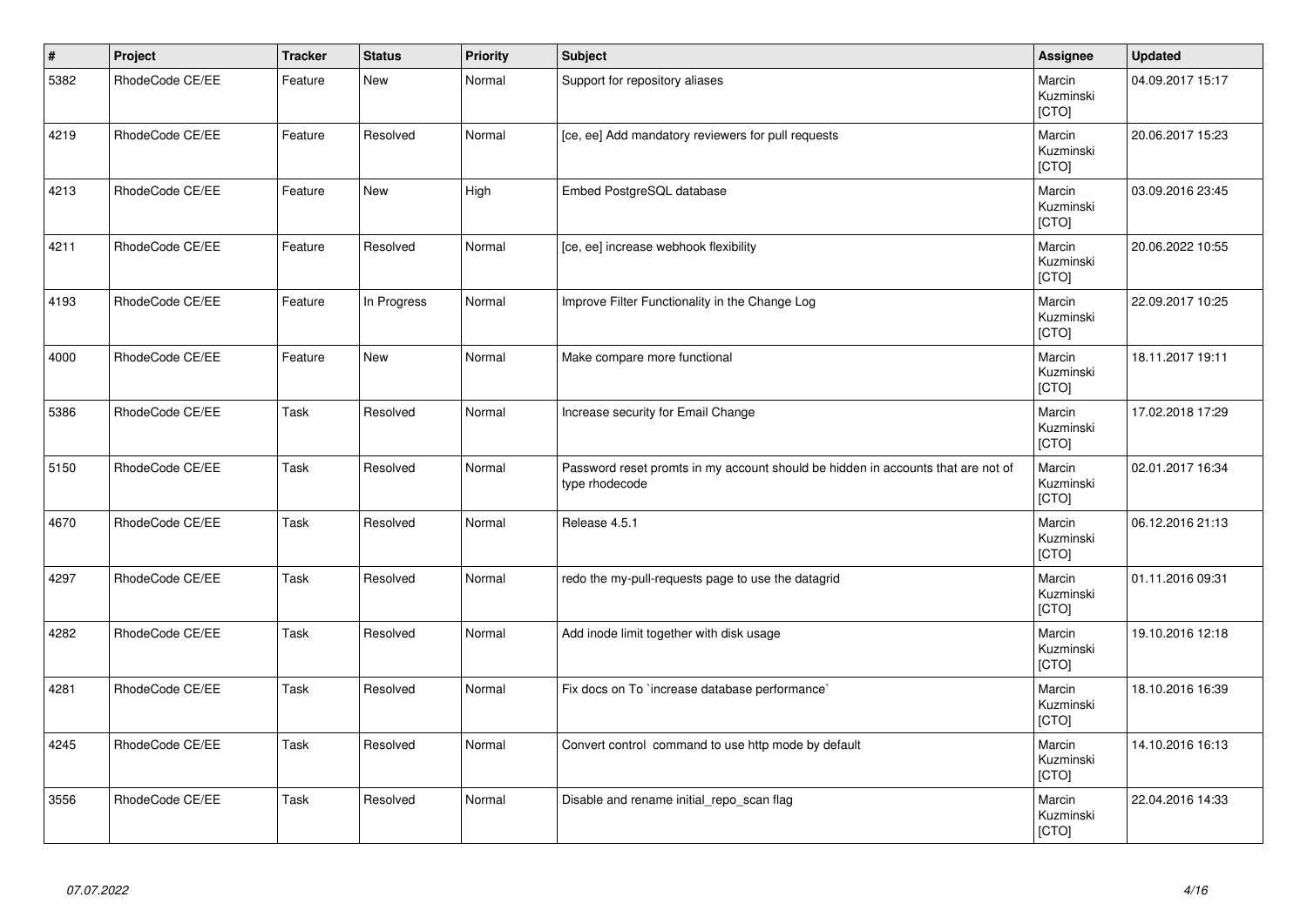| $\vert$ # | Project         | <b>Tracker</b> | <b>Status</b> | <b>Priority</b> | Subject                                                                                            | Assignee                     | <b>Updated</b>   |
|-----------|-----------------|----------------|---------------|-----------------|----------------------------------------------------------------------------------------------------|------------------------------|------------------|
| 5382      | RhodeCode CE/EE | Feature        | <b>New</b>    | Normal          | Support for repository aliases                                                                     | Marcin<br>Kuzminski<br>[CTO] | 04.09.2017 15:17 |
| 4219      | RhodeCode CE/EE | Feature        | Resolved      | Normal          | [ce, ee] Add mandatory reviewers for pull requests                                                 | Marcin<br>Kuzminski<br>[CTO] | 20.06.2017 15:23 |
| 4213      | RhodeCode CE/EE | Feature        | <b>New</b>    | High            | Embed PostgreSQL database                                                                          | Marcin<br>Kuzminski<br>[CTO] | 03.09.2016 23:45 |
| 4211      | RhodeCode CE/EE | Feature        | Resolved      | Normal          | [ce, ee] increase webhook flexibility                                                              | Marcin<br>Kuzminski<br>[CTO] | 20.06.2022 10:55 |
| 4193      | RhodeCode CE/EE | Feature        | In Progress   | Normal          | Improve Filter Functionality in the Change Log                                                     | Marcin<br>Kuzminski<br>[CTO] | 22.09.2017 10:25 |
| 4000      | RhodeCode CE/EE | Feature        | <b>New</b>    | Normal          | Make compare more functional                                                                       | Marcin<br>Kuzminski<br>[CTO] | 18.11.2017 19:11 |
| 5386      | RhodeCode CE/EE | Task           | Resolved      | Normal          | Increase security for Email Change                                                                 | Marcin<br>Kuzminski<br>[CTO] | 17.02.2018 17:29 |
| 5150      | RhodeCode CE/EE | Task           | Resolved      | Normal          | Password reset promts in my account should be hidden in accounts that are not of<br>type rhodecode | Marcin<br>Kuzminski<br>[CTO] | 02.01.2017 16:34 |
| 4670      | RhodeCode CE/EE | Task           | Resolved      | Normal          | Release 4.5.1                                                                                      | Marcin<br>Kuzminski<br>[CTO] | 06.12.2016 21:13 |
| 4297      | RhodeCode CE/EE | Task           | Resolved      | Normal          | redo the my-pull-requests page to use the datagrid                                                 | Marcin<br>Kuzminski<br>[CTO] | 01.11.2016 09:31 |
| 4282      | RhodeCode CE/EE | Task           | Resolved      | Normal          | Add inode limit together with disk usage                                                           | Marcin<br>Kuzminski<br>[CTO] | 19.10.2016 12:18 |
| 4281      | RhodeCode CE/EE | Task           | Resolved      | Normal          | Fix docs on To `increase database performance`                                                     | Marcin<br>Kuzminski<br>[CTO] | 18.10.2016 16:39 |
| 4245      | RhodeCode CE/EE | Task           | Resolved      | Normal          | Convert control command to use http mode by default                                                | Marcin<br>Kuzminski<br>[CTO] | 14.10.2016 16:13 |
| 3556      | RhodeCode CE/EE | Task           | Resolved      | Normal          | Disable and rename initial_repo_scan flag                                                          | Marcin<br>Kuzminski<br>[CTO] | 22.04.2016 14:33 |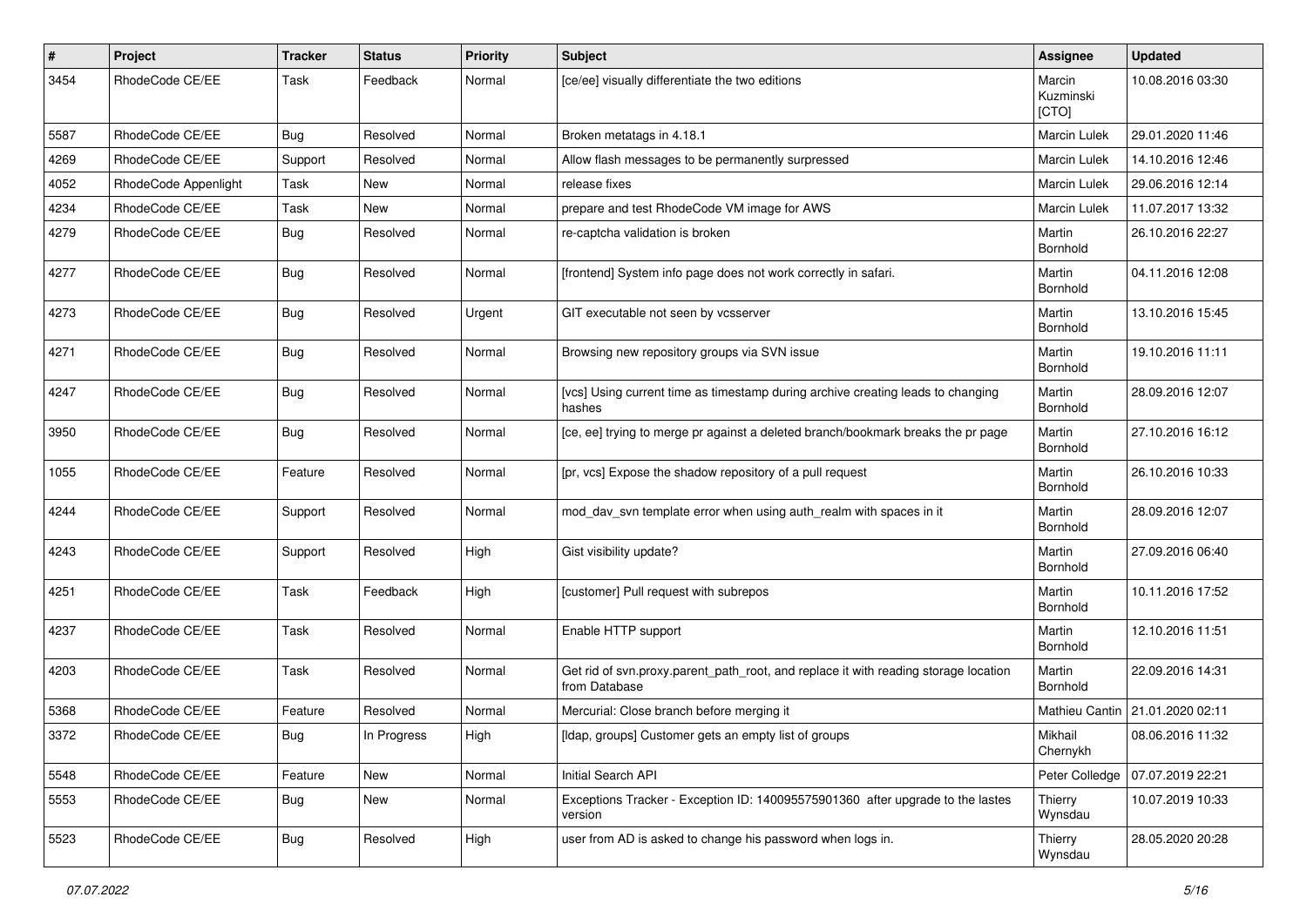| #    | Project              | <b>Tracker</b> | <b>Status</b> | <b>Priority</b> | <b>Subject</b>                                                                                       | Assignee                     | <b>Updated</b>                  |
|------|----------------------|----------------|---------------|-----------------|------------------------------------------------------------------------------------------------------|------------------------------|---------------------------------|
| 3454 | RhodeCode CE/EE      | Task           | Feedback      | Normal          | [ce/ee] visually differentiate the two editions                                                      | Marcin<br>Kuzminski<br>[CTO] | 10.08.2016 03:30                |
| 5587 | RhodeCode CE/EE      | <b>Bug</b>     | Resolved      | Normal          | Broken metatags in 4.18.1                                                                            | <b>Marcin Lulek</b>          | 29.01.2020 11:46                |
| 4269 | RhodeCode CE/EE      | Support        | Resolved      | Normal          | Allow flash messages to be permanently surpressed                                                    | Marcin Lulek                 | 14.10.2016 12:46                |
| 4052 | RhodeCode Appenlight | Task           | New           | Normal          | release fixes                                                                                        | Marcin Lulek                 | 29.06.2016 12:14                |
| 4234 | RhodeCode CE/EE      | Task           | New           | Normal          | prepare and test RhodeCode VM image for AWS                                                          | <b>Marcin Lulek</b>          | 11.07.2017 13:32                |
| 4279 | RhodeCode CE/EE      | Bug            | Resolved      | Normal          | re-captcha validation is broken                                                                      | Martin<br>Bornhold           | 26.10.2016 22:27                |
| 4277 | RhodeCode CE/EE      | <b>Bug</b>     | Resolved      | Normal          | [frontend] System info page does not work correctly in safari.                                       | Martin<br>Bornhold           | 04.11.2016 12:08                |
| 4273 | RhodeCode CE/EE      | Bug            | Resolved      | Urgent          | GIT executable not seen by vcsserver                                                                 | Martin<br>Bornhold           | 13.10.2016 15:45                |
| 4271 | RhodeCode CE/EE      | Bug            | Resolved      | Normal          | Browsing new repository groups via SVN issue                                                         | Martin<br>Bornhold           | 19.10.2016 11:11                |
| 4247 | RhodeCode CE/EE      | Bug            | Resolved      | Normal          | [vcs] Using current time as timestamp during archive creating leads to changing<br>hashes            | Martin<br>Bornhold           | 28.09.2016 12:07                |
| 3950 | RhodeCode CE/EE      | Bug            | Resolved      | Normal          | [ce, ee] trying to merge pr against a deleted branch/bookmark breaks the pr page                     | Martin<br>Bornhold           | 27.10.2016 16:12                |
| 1055 | RhodeCode CE/EE      | Feature        | Resolved      | Normal          | [pr, vcs] Expose the shadow repository of a pull request                                             | Martin<br>Bornhold           | 26.10.2016 10:33                |
| 4244 | RhodeCode CE/EE      | Support        | Resolved      | Normal          | mod_dav_svn template error when using auth_realm with spaces in it                                   | Martin<br>Bornhold           | 28.09.2016 12:07                |
| 4243 | RhodeCode CE/EE      | Support        | Resolved      | High            | Gist visibility update?                                                                              | Martin<br>Bornhold           | 27.09.2016 06:40                |
| 4251 | RhodeCode CE/EE      | Task           | Feedback      | High            | [customer] Pull request with subrepos                                                                | Martin<br>Bornhold           | 10.11.2016 17:52                |
| 4237 | RhodeCode CE/EE      | Task           | Resolved      | Normal          | Enable HTTP support                                                                                  | Martin<br>Bornhold           | 12.10.2016 11:51                |
| 4203 | RhodeCode CE/EE      | Task           | Resolved      | Normal          | Get rid of svn.proxy.parent_path_root, and replace it with reading storage location<br>from Database | Martin<br>Bornhold           | 22.09.2016 14:31                |
| 5368 | RhodeCode CE/EE      | Feature        | Resolved      | Normal          | Mercurial: Close branch before merging it                                                            |                              | Mathieu Cantin 21.01.2020 02:11 |
| 3372 | RhodeCode CE/EE      | Bug            | In Progress   | High            | [Idap, groups] Customer gets an empty list of groups                                                 | Mikhail<br>Chernykh          | 08.06.2016 11:32                |
| 5548 | RhodeCode CE/EE      | Feature        | New           | Normal          | Initial Search API                                                                                   | Peter Colledge               | 07.07.2019 22:21                |
| 5553 | RhodeCode CE/EE      | Bug            | New           | Normal          | Exceptions Tracker - Exception ID: 140095575901360 after upgrade to the lastes<br>version            | Thierry<br>Wynsdau           | 10.07.2019 10:33                |
| 5523 | RhodeCode CE/EE      | Bug            | Resolved      | High            | user from AD is asked to change his password when logs in.                                           | Thierry<br>Wynsdau           | 28.05.2020 20:28                |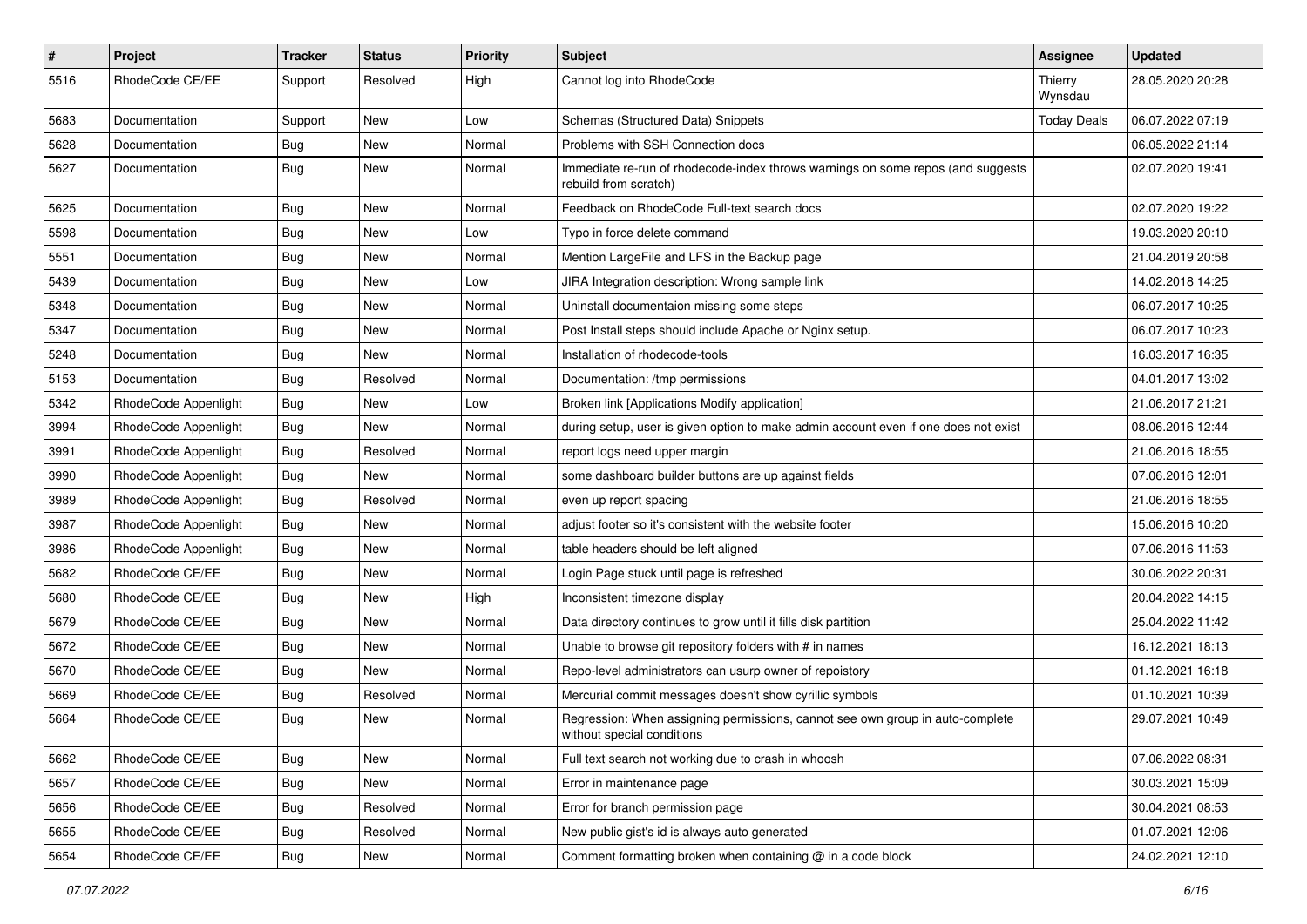| $\pmb{\#}$ | Project              | <b>Tracker</b> | <b>Status</b> | <b>Priority</b> | <b>Subject</b>                                                                                              | <b>Assignee</b>    | <b>Updated</b>   |
|------------|----------------------|----------------|---------------|-----------------|-------------------------------------------------------------------------------------------------------------|--------------------|------------------|
| 5516       | RhodeCode CE/EE      | Support        | Resolved      | High            | Cannot log into RhodeCode                                                                                   | Thierry<br>Wynsdau | 28.05.2020 20:28 |
| 5683       | Documentation        | Support        | <b>New</b>    | Low             | Schemas (Structured Data) Snippets                                                                          | <b>Today Deals</b> | 06.07.2022 07:19 |
| 5628       | Documentation        | Bug            | New           | Normal          | Problems with SSH Connection docs                                                                           |                    | 06.05.2022 21:14 |
| 5627       | Documentation        | Bug            | <b>New</b>    | Normal          | Immediate re-run of rhodecode-index throws warnings on some repos (and suggests<br>rebuild from scratch)    |                    | 02.07.2020 19:41 |
| 5625       | Documentation        | Bug            | New           | Normal          | Feedback on RhodeCode Full-text search docs                                                                 |                    | 02.07.2020 19:22 |
| 5598       | Documentation        | Bug            | New           | Low             | Typo in force delete command                                                                                |                    | 19.03.2020 20:10 |
| 5551       | Documentation        | <b>Bug</b>     | New           | Normal          | Mention LargeFile and LFS in the Backup page                                                                |                    | 21.04.2019 20:58 |
| 5439       | Documentation        | Bug            | <b>New</b>    | Low             | JIRA Integration description: Wrong sample link                                                             |                    | 14.02.2018 14:25 |
| 5348       | Documentation        | <b>Bug</b>     | <b>New</b>    | Normal          | Uninstall documentaion missing some steps                                                                   |                    | 06.07.2017 10:25 |
| 5347       | Documentation        | Bug            | New           | Normal          | Post Install steps should include Apache or Nginx setup.                                                    |                    | 06.07.2017 10:23 |
| 5248       | Documentation        | Bug            | New           | Normal          | Installation of rhodecode-tools                                                                             |                    | 16.03.2017 16:35 |
| 5153       | Documentation        | Bug            | Resolved      | Normal          | Documentation: /tmp permissions                                                                             |                    | 04.01.2017 13:02 |
| 5342       | RhodeCode Appenlight | <b>Bug</b>     | <b>New</b>    | Low             | Broken link [Applications Modify application]                                                               |                    | 21.06.2017 21:21 |
| 3994       | RhodeCode Appenlight | Bug            | <b>New</b>    | Normal          | during setup, user is given option to make admin account even if one does not exist                         |                    | 08.06.2016 12:44 |
| 3991       | RhodeCode Appenlight | Bug            | Resolved      | Normal          | report logs need upper margin                                                                               |                    | 21.06.2016 18:55 |
| 3990       | RhodeCode Appenlight | Bug            | <b>New</b>    | Normal          | some dashboard builder buttons are up against fields                                                        |                    | 07.06.2016 12:01 |
| 3989       | RhodeCode Appenlight | Bug            | Resolved      | Normal          | even up report spacing                                                                                      |                    | 21.06.2016 18:55 |
| 3987       | RhodeCode Appenlight | Bug            | <b>New</b>    | Normal          | adjust footer so it's consistent with the website footer                                                    |                    | 15.06.2016 10:20 |
| 3986       | RhodeCode Appenlight | <b>Bug</b>     | New           | Normal          | table headers should be left aligned                                                                        |                    | 07.06.2016 11:53 |
| 5682       | RhodeCode CE/EE      | Bug            | New           | Normal          | Login Page stuck until page is refreshed                                                                    |                    | 30.06.2022 20:31 |
| 5680       | RhodeCode CE/EE      | Bug            | <b>New</b>    | High            | Inconsistent timezone display                                                                               |                    | 20.04.2022 14:15 |
| 5679       | RhodeCode CE/EE      | Bug            | New           | Normal          | Data directory continues to grow until it fills disk partition                                              |                    | 25.04.2022 11:42 |
| 5672       | RhodeCode CE/EE      | Bug            | New           | Normal          | Unable to browse git repository folders with # in names                                                     |                    | 16.12.2021 18:13 |
| 5670       | RhodeCode CE/EE      | Bug            | New           | Normal          | Repo-level administrators can usurp owner of repoistory                                                     |                    | 01.12.2021 16:18 |
| 5669       | RhodeCode CE/EE      | Bug            | Resolved      | Normal          | Mercurial commit messages doesn't show cyrillic symbols                                                     |                    | 01.10.2021 10:39 |
| 5664       | RhodeCode CE/EE      | Bug            | <b>New</b>    | Normal          | Regression: When assigning permissions, cannot see own group in auto-complete<br>without special conditions |                    | 29.07.2021 10:49 |
| 5662       | RhodeCode CE/EE      | Bug            | New           | Normal          | Full text search not working due to crash in whoosh                                                         |                    | 07.06.2022 08:31 |
| 5657       | RhodeCode CE/EE      | <b>Bug</b>     | New           | Normal          | Error in maintenance page                                                                                   |                    | 30.03.2021 15:09 |
| 5656       | RhodeCode CE/EE      | Bug            | Resolved      | Normal          | Error for branch permission page                                                                            |                    | 30.04.2021 08:53 |
| 5655       | RhodeCode CE/EE      | Bug            | Resolved      | Normal          | New public gist's id is always auto generated                                                               |                    | 01.07.2021 12:06 |
| 5654       | RhodeCode CE/EE      | <b>Bug</b>     | New           | Normal          | Comment formatting broken when containing @ in a code block                                                 |                    | 24.02.2021 12:10 |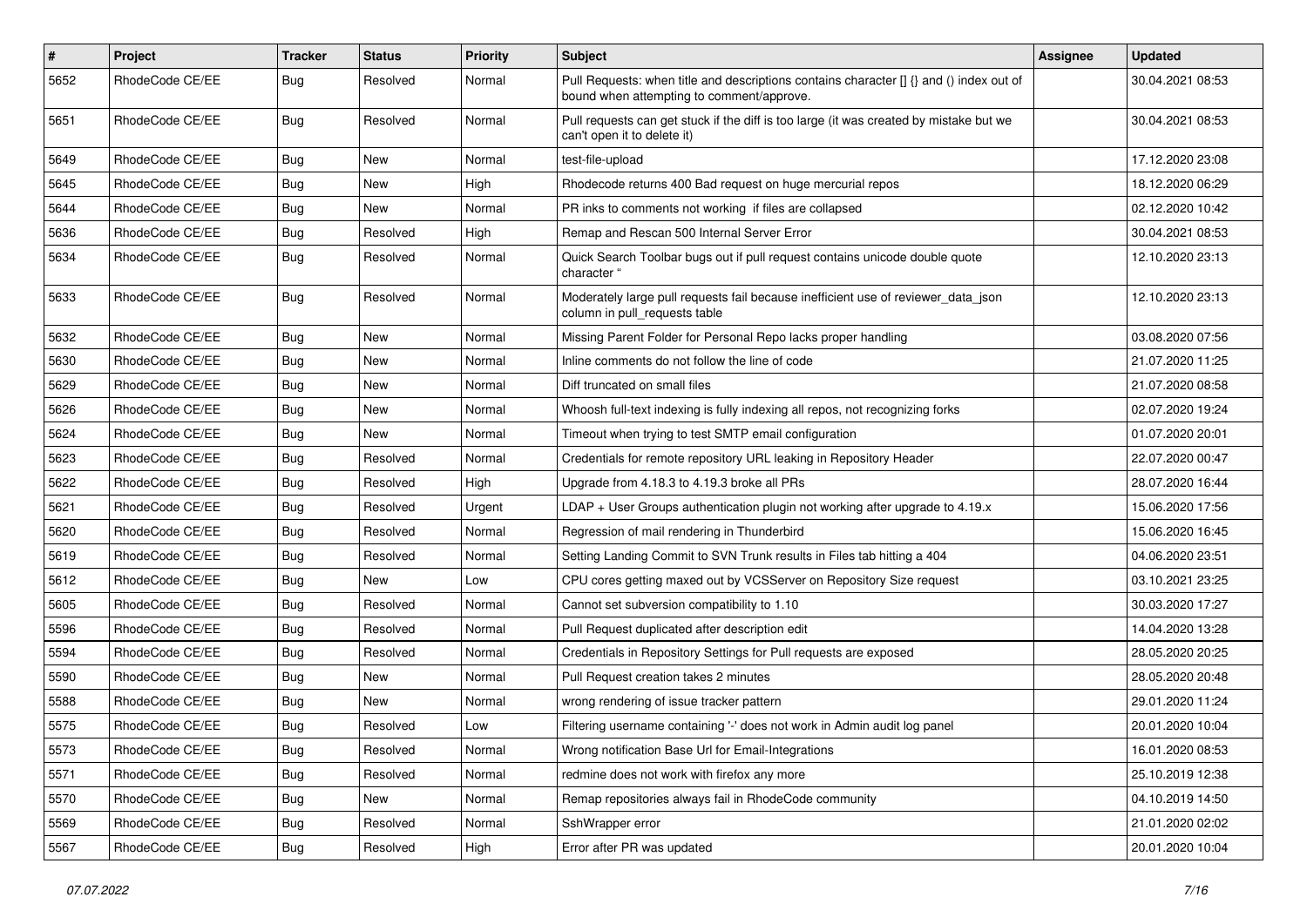| $\pmb{\#}$ | <b>Project</b>  | <b>Tracker</b> | <b>Status</b> | <b>Priority</b> | <b>Subject</b>                                                                                                                       | Assignee | <b>Updated</b>   |
|------------|-----------------|----------------|---------------|-----------------|--------------------------------------------------------------------------------------------------------------------------------------|----------|------------------|
| 5652       | RhodeCode CE/EE | Bug            | Resolved      | Normal          | Pull Requests: when title and descriptions contains character [] {} and () index out of<br>bound when attempting to comment/approve. |          | 30.04.2021 08:53 |
| 5651       | RhodeCode CE/EE | Bug            | Resolved      | Normal          | Pull requests can get stuck if the diff is too large (it was created by mistake but we<br>can't open it to delete it)                |          | 30.04.2021 08:53 |
| 5649       | RhodeCode CE/EE | Bug            | <b>New</b>    | Normal          | test-file-upload                                                                                                                     |          | 17.12.2020 23:08 |
| 5645       | RhodeCode CE/EE | Bug            | New           | High            | Rhodecode returns 400 Bad request on huge mercurial repos                                                                            |          | 18.12.2020 06:29 |
| 5644       | RhodeCode CE/EE | <b>Bug</b>     | New           | Normal          | PR inks to comments not working if files are collapsed                                                                               |          | 02.12.2020 10:42 |
| 5636       | RhodeCode CE/EE | <b>Bug</b>     | Resolved      | High            | Remap and Rescan 500 Internal Server Error                                                                                           |          | 30.04.2021 08:53 |
| 5634       | RhodeCode CE/EE | Bug            | Resolved      | Normal          | Quick Search Toolbar bugs out if pull request contains unicode double quote<br>character "                                           |          | 12.10.2020 23:13 |
| 5633       | RhodeCode CE/EE | Bug            | Resolved      | Normal          | Moderately large pull requests fail because inefficient use of reviewer_data_json<br>column in pull_requests table                   |          | 12.10.2020 23:13 |
| 5632       | RhodeCode CE/EE | Bug            | <b>New</b>    | Normal          | Missing Parent Folder for Personal Repo lacks proper handling                                                                        |          | 03.08.2020 07:56 |
| 5630       | RhodeCode CE/EE | Bug            | New           | Normal          | Inline comments do not follow the line of code                                                                                       |          | 21.07.2020 11:25 |
| 5629       | RhodeCode CE/EE | <b>Bug</b>     | New           | Normal          | Diff truncated on small files                                                                                                        |          | 21.07.2020 08:58 |
| 5626       | RhodeCode CE/EE | Bug            | New           | Normal          | Whoosh full-text indexing is fully indexing all repos, not recognizing forks                                                         |          | 02.07.2020 19:24 |
| 5624       | RhodeCode CE/EE | <b>Bug</b>     | <b>New</b>    | Normal          | Timeout when trying to test SMTP email configuration                                                                                 |          | 01.07.2020 20:01 |
| 5623       | RhodeCode CE/EE | Bug            | Resolved      | Normal          | Credentials for remote repository URL leaking in Repository Header                                                                   |          | 22.07.2020 00:47 |
| 5622       | RhodeCode CE/EE | Bug            | Resolved      | High            | Upgrade from 4.18.3 to 4.19.3 broke all PRs                                                                                          |          | 28.07.2020 16:44 |
| 5621       | RhodeCode CE/EE | Bug            | Resolved      | Urgent          | $LDAP + User Groups authentication playing not working after upgrade to 4.19.x$                                                      |          | 15.06.2020 17:56 |
| 5620       | RhodeCode CE/EE | <b>Bug</b>     | Resolved      | Normal          | Regression of mail rendering in Thunderbird                                                                                          |          | 15.06.2020 16:45 |
| 5619       | RhodeCode CE/EE | Bug            | Resolved      | Normal          | Setting Landing Commit to SVN Trunk results in Files tab hitting a 404                                                               |          | 04.06.2020 23:51 |
| 5612       | RhodeCode CE/EE | <b>Bug</b>     | <b>New</b>    | Low             | CPU cores getting maxed out by VCSServer on Repository Size request                                                                  |          | 03.10.2021 23:25 |
| 5605       | RhodeCode CE/EE | Bug            | Resolved      | Normal          | Cannot set subversion compatibility to 1.10                                                                                          |          | 30.03.2020 17:27 |
| 5596       | RhodeCode CE/EE | Bug            | Resolved      | Normal          | Pull Request duplicated after description edit                                                                                       |          | 14.04.2020 13:28 |
| 5594       | RhodeCode CE/EE | Bug            | Resolved      | Normal          | Credentials in Repository Settings for Pull requests are exposed                                                                     |          | 28.05.2020 20:25 |
| 5590       | RhodeCode CE/EE | Bug            | New           | Normal          | Pull Request creation takes 2 minutes                                                                                                |          | 28.05.2020 20:48 |
| 5588       | RhodeCode CE/EE | Bug            | New           | Normal          | wrong rendering of issue tracker pattern                                                                                             |          | 29.01.2020 11:24 |
| 5575       | RhodeCode CE/EE | Bug            | Resolved      | Low             | Filtering username containing '-' does not work in Admin audit log panel                                                             |          | 20.01.2020 10:04 |
| 5573       | RhodeCode CE/EE | <b>Bug</b>     | Resolved      | Normal          | Wrong notification Base Url for Email-Integrations                                                                                   |          | 16.01.2020 08:53 |
| 5571       | RhodeCode CE/EE | Bug            | Resolved      | Normal          | redmine does not work with firefox any more                                                                                          |          | 25.10.2019 12:38 |
| 5570       | RhodeCode CE/EE | <b>Bug</b>     | New           | Normal          | Remap repositories always fail in RhodeCode community                                                                                |          | 04.10.2019 14:50 |
| 5569       | RhodeCode CE/EE | Bug            | Resolved      | Normal          | SshWrapper error                                                                                                                     |          | 21.01.2020 02:02 |
| 5567       | RhodeCode CE/EE | Bug            | Resolved      | High            | Error after PR was updated                                                                                                           |          | 20.01.2020 10:04 |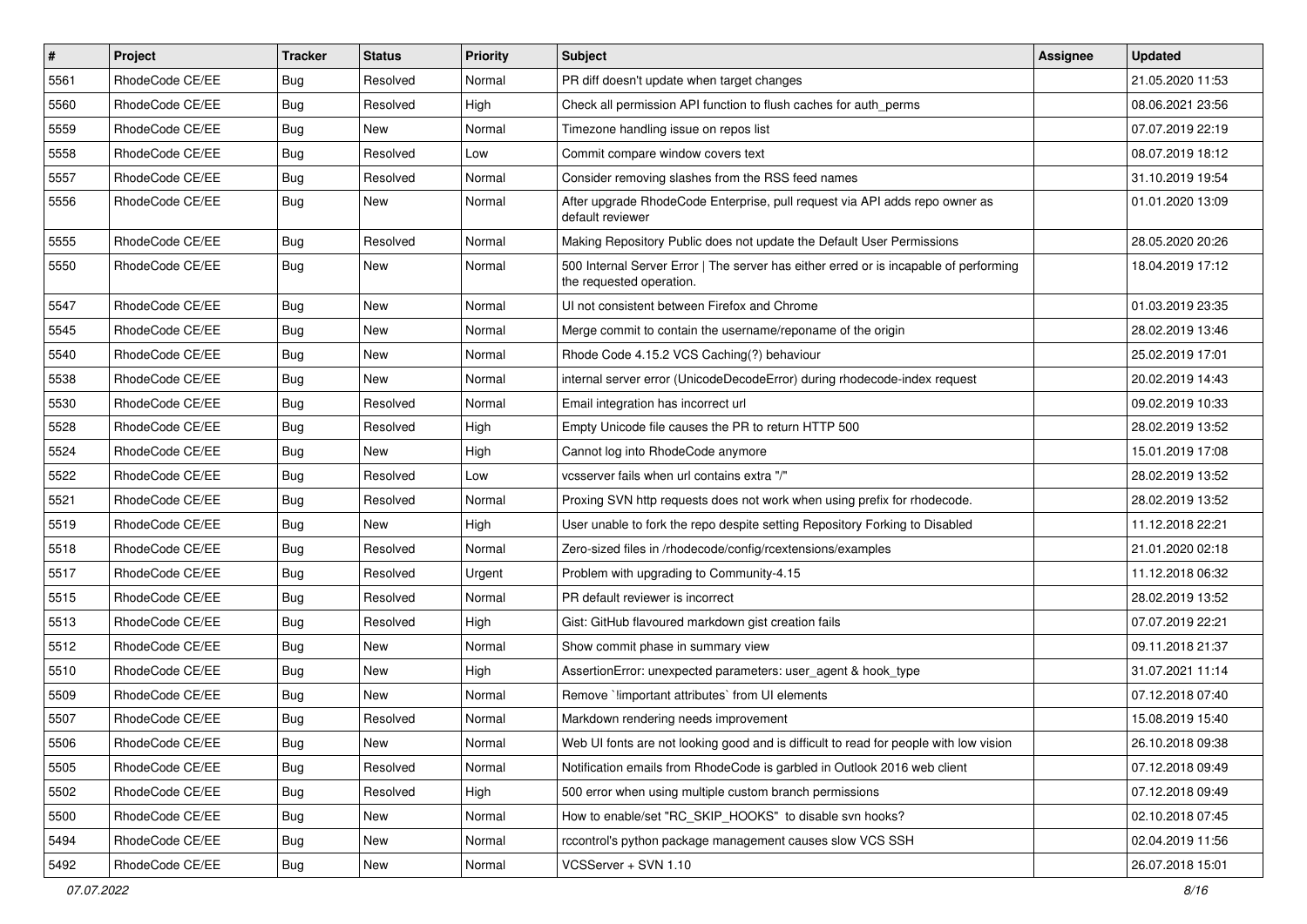| $\sharp$ | Project         | <b>Tracker</b> | <b>Status</b> | Priority | <b>Subject</b>                                                                                                    | <b>Assignee</b> | <b>Updated</b>   |
|----------|-----------------|----------------|---------------|----------|-------------------------------------------------------------------------------------------------------------------|-----------------|------------------|
| 5561     | RhodeCode CE/EE | <b>Bug</b>     | Resolved      | Normal   | PR diff doesn't update when target changes                                                                        |                 | 21.05.2020 11:53 |
| 5560     | RhodeCode CE/EE | Bug            | Resolved      | High     | Check all permission API function to flush caches for auth_perms                                                  |                 | 08.06.2021 23:56 |
| 5559     | RhodeCode CE/EE | <b>Bug</b>     | New           | Normal   | Timezone handling issue on repos list                                                                             |                 | 07.07.2019 22:19 |
| 5558     | RhodeCode CE/EE | <b>Bug</b>     | Resolved      | Low      | Commit compare window covers text                                                                                 |                 | 08.07.2019 18:12 |
| 5557     | RhodeCode CE/EE | Bug            | Resolved      | Normal   | Consider removing slashes from the RSS feed names                                                                 |                 | 31.10.2019 19:54 |
| 5556     | RhodeCode CE/EE | Bug            | New           | Normal   | After upgrade RhodeCode Enterprise, pull request via API adds repo owner as<br>default reviewer                   |                 | 01.01.2020 13:09 |
| 5555     | RhodeCode CE/EE | Bug            | Resolved      | Normal   | Making Repository Public does not update the Default User Permissions                                             |                 | 28.05.2020 20:26 |
| 5550     | RhodeCode CE/EE | Bug            | New           | Normal   | 500 Internal Server Error   The server has either erred or is incapable of performing<br>the requested operation. |                 | 18.04.2019 17:12 |
| 5547     | RhodeCode CE/EE | Bug            | New           | Normal   | UI not consistent between Firefox and Chrome                                                                      |                 | 01.03.2019 23:35 |
| 5545     | RhodeCode CE/EE | <b>Bug</b>     | New           | Normal   | Merge commit to contain the username/reponame of the origin                                                       |                 | 28.02.2019 13:46 |
| 5540     | RhodeCode CE/EE | Bug            | <b>New</b>    | Normal   | Rhode Code 4.15.2 VCS Caching(?) behaviour                                                                        |                 | 25.02.2019 17:01 |
| 5538     | RhodeCode CE/EE | <b>Bug</b>     | New           | Normal   | internal server error (UnicodeDecodeError) during rhodecode-index request                                         |                 | 20.02.2019 14:43 |
| 5530     | RhodeCode CE/EE | <b>Bug</b>     | Resolved      | Normal   | Email integration has incorrect url                                                                               |                 | 09.02.2019 10:33 |
| 5528     | RhodeCode CE/EE | Bug            | Resolved      | High     | Empty Unicode file causes the PR to return HTTP 500                                                               |                 | 28.02.2019 13:52 |
| 5524     | RhodeCode CE/EE | <b>Bug</b>     | New           | High     | Cannot log into RhodeCode anymore                                                                                 |                 | 15.01.2019 17:08 |
| 5522     | RhodeCode CE/EE | <b>Bug</b>     | Resolved      | Low      | vcsserver fails when url contains extra "/"                                                                       |                 | 28.02.2019 13:52 |
| 5521     | RhodeCode CE/EE | Bug            | Resolved      | Normal   | Proxing SVN http requests does not work when using prefix for rhodecode.                                          |                 | 28.02.2019 13:52 |
| 5519     | RhodeCode CE/EE | <b>Bug</b>     | New           | High     | User unable to fork the repo despite setting Repository Forking to Disabled                                       |                 | 11.12.2018 22:21 |
| 5518     | RhodeCode CE/EE | <b>Bug</b>     | Resolved      | Normal   | Zero-sized files in /rhodecode/config/rcextensions/examples                                                       |                 | 21.01.2020 02:18 |
| 5517     | RhodeCode CE/EE | <b>Bug</b>     | Resolved      | Urgent   | Problem with upgrading to Community-4.15                                                                          |                 | 11.12.2018 06:32 |
| 5515     | RhodeCode CE/EE | <b>Bug</b>     | Resolved      | Normal   | PR default reviewer is incorrect                                                                                  |                 | 28.02.2019 13:52 |
| 5513     | RhodeCode CE/EE | <b>Bug</b>     | Resolved      | High     | Gist: GitHub flavoured markdown gist creation fails                                                               |                 | 07.07.2019 22:21 |
| 5512     | RhodeCode CE/EE | <b>Bug</b>     | New           | Normal   | Show commit phase in summary view                                                                                 |                 | 09.11.2018 21:37 |
| 5510     | RhodeCode CE/EE | Bug            | <b>New</b>    | High     | AssertionError: unexpected parameters: user_agent & hook_type                                                     |                 | 31.07.2021 11:14 |
| 5509     | RhodeCode CE/EE | <b>Bug</b>     | New           | Normal   | Remove `!important attributes` from UI elements                                                                   |                 | 07.12.2018 07:40 |
| 5507     | RhodeCode CE/EE | Bug            | Resolved      | Normal   | Markdown rendering needs improvement                                                                              |                 | 15.08.2019 15:40 |
| 5506     | RhodeCode CE/EE | Bug            | New           | Normal   | Web UI fonts are not looking good and is difficult to read for people with low vision                             |                 | 26.10.2018 09:38 |
| 5505     | RhodeCode CE/EE | Bug            | Resolved      | Normal   | Notification emails from RhodeCode is garbled in Outlook 2016 web client                                          |                 | 07.12.2018 09:49 |
| 5502     | RhodeCode CE/EE | Bug            | Resolved      | High     | 500 error when using multiple custom branch permissions                                                           |                 | 07.12.2018 09:49 |
| 5500     | RhodeCode CE/EE | <b>Bug</b>     | New           | Normal   | How to enable/set "RC_SKIP_HOOKS" to disable svn hooks?                                                           |                 | 02.10.2018 07:45 |
| 5494     | RhodeCode CE/EE | <b>Bug</b>     | New           | Normal   | rccontrol's python package management causes slow VCS SSH                                                         |                 | 02.04.2019 11:56 |
| 5492     | RhodeCode CE/EE | <b>Bug</b>     | New           | Normal   | VCSServer + SVN 1.10                                                                                              |                 | 26.07.2018 15:01 |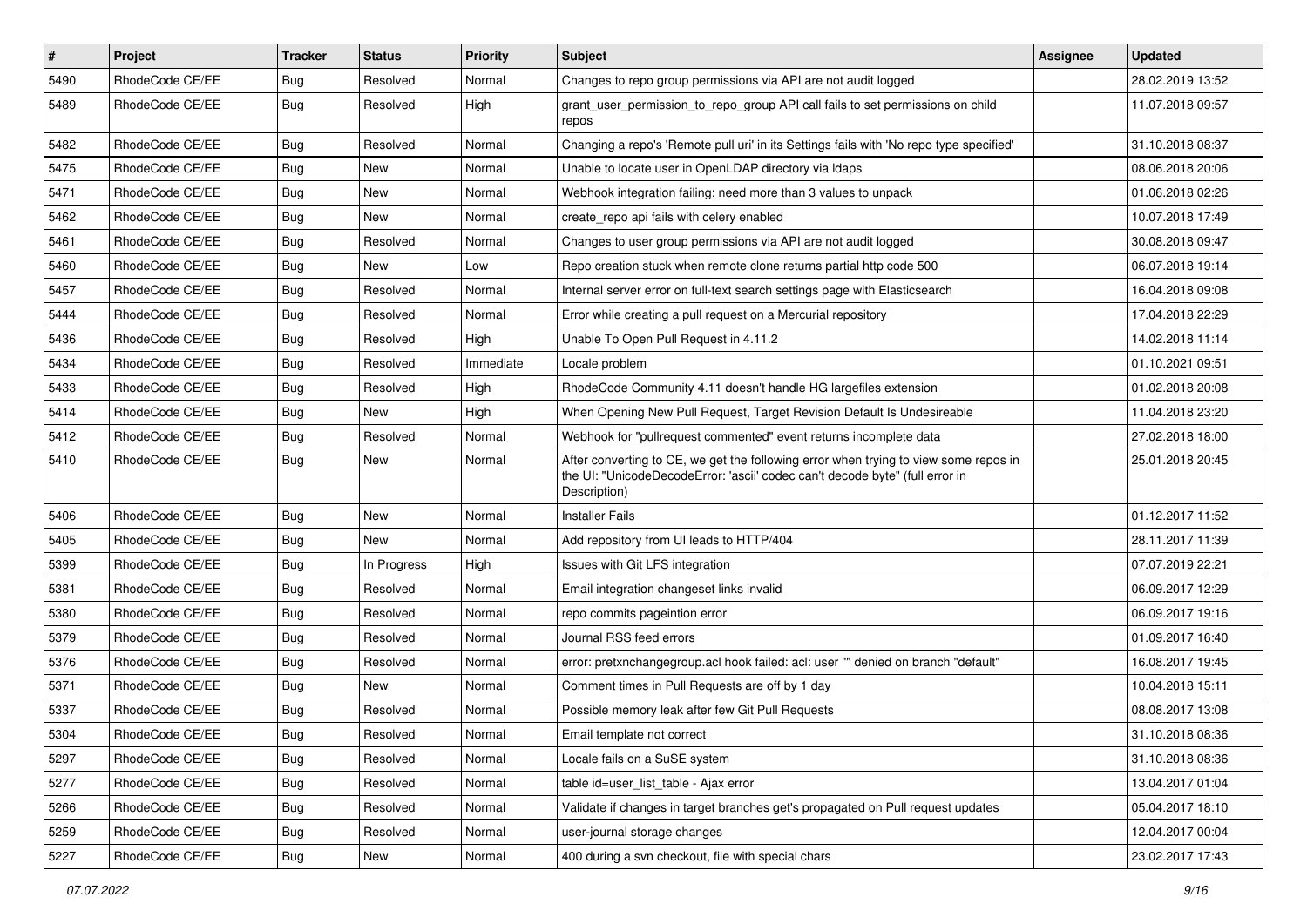| $\sharp$ | Project         | <b>Tracker</b> | <b>Status</b> | <b>Priority</b> | Subject                                                                                                                                                                              | <b>Assignee</b> | <b>Updated</b>   |
|----------|-----------------|----------------|---------------|-----------------|--------------------------------------------------------------------------------------------------------------------------------------------------------------------------------------|-----------------|------------------|
| 5490     | RhodeCode CE/EE | Bug            | Resolved      | Normal          | Changes to repo group permissions via API are not audit logged                                                                                                                       |                 | 28.02.2019 13:52 |
| 5489     | RhodeCode CE/EE | Bug            | Resolved      | High            | grant_user_permission_to_repo_group API call fails to set permissions on child<br>repos                                                                                              |                 | 11.07.2018 09:57 |
| 5482     | RhodeCode CE/EE | Bug            | Resolved      | Normal          | Changing a repo's 'Remote pull uri' in its Settings fails with 'No repo type specified'                                                                                              |                 | 31.10.2018 08:37 |
| 5475     | RhodeCode CE/EE | Bug            | New           | Normal          | Unable to locate user in OpenLDAP directory via Idaps                                                                                                                                |                 | 08.06.2018 20:06 |
| 5471     | RhodeCode CE/EE | Bug            | <b>New</b>    | Normal          | Webhook integration failing: need more than 3 values to unpack                                                                                                                       |                 | 01.06.2018 02:26 |
| 5462     | RhodeCode CE/EE | <b>Bug</b>     | New           | Normal          | create repo api fails with celery enabled                                                                                                                                            |                 | 10.07.2018 17:49 |
| 5461     | RhodeCode CE/EE | Bug            | Resolved      | Normal          | Changes to user group permissions via API are not audit logged                                                                                                                       |                 | 30.08.2018 09:47 |
| 5460     | RhodeCode CE/EE | Bug            | New           | Low             | Repo creation stuck when remote clone returns partial http code 500                                                                                                                  |                 | 06.07.2018 19:14 |
| 5457     | RhodeCode CE/EE | <b>Bug</b>     | Resolved      | Normal          | Internal server error on full-text search settings page with Elasticsearch                                                                                                           |                 | 16.04.2018 09:08 |
| 5444     | RhodeCode CE/EE | Bug            | Resolved      | Normal          | Error while creating a pull request on a Mercurial repository                                                                                                                        |                 | 17.04.2018 22:29 |
| 5436     | RhodeCode CE/EE | Bug            | Resolved      | High            | Unable To Open Pull Request in 4.11.2                                                                                                                                                |                 | 14.02.2018 11:14 |
| 5434     | RhodeCode CE/EE | Bug            | Resolved      | Immediate       | Locale problem                                                                                                                                                                       |                 | 01.10.2021 09:51 |
| 5433     | RhodeCode CE/EE | Bug            | Resolved      | High            | RhodeCode Community 4.11 doesn't handle HG largefiles extension                                                                                                                      |                 | 01.02.2018 20:08 |
| 5414     | RhodeCode CE/EE | <b>Bug</b>     | <b>New</b>    | High            | When Opening New Pull Request, Target Revision Default Is Undesireable                                                                                                               |                 | 11.04.2018 23:20 |
| 5412     | RhodeCode CE/EE | Bug            | Resolved      | Normal          | Webhook for "pullrequest commented" event returns incomplete data                                                                                                                    |                 | 27.02.2018 18:00 |
| 5410     | RhodeCode CE/EE | Bug            | New           | Normal          | After converting to CE, we get the following error when trying to view some repos in<br>the UI: "UnicodeDecodeError: 'ascii' codec can't decode byte" (full error in<br>Description) |                 | 25.01.2018 20:45 |
| 5406     | RhodeCode CE/EE | Bug            | <b>New</b>    | Normal          | <b>Installer Fails</b>                                                                                                                                                               |                 | 01.12.2017 11:52 |
| 5405     | RhodeCode CE/EE | Bug            | New           | Normal          | Add repository from UI leads to HTTP/404                                                                                                                                             |                 | 28.11.2017 11:39 |
| 5399     | RhodeCode CE/EE | Bug            | In Progress   | High            | Issues with Git LFS integration                                                                                                                                                      |                 | 07.07.2019 22:21 |
| 5381     | RhodeCode CE/EE | <b>Bug</b>     | Resolved      | Normal          | Email integration changeset links invalid                                                                                                                                            |                 | 06.09.2017 12:29 |
| 5380     | RhodeCode CE/EE | Bug            | Resolved      | Normal          | repo commits pageintion error                                                                                                                                                        |                 | 06.09.2017 19:16 |
| 5379     | RhodeCode CE/EE | Bug            | Resolved      | Normal          | Journal RSS feed errors                                                                                                                                                              |                 | 01.09.2017 16:40 |
| 5376     | RhodeCode CE/EE | Bug            | Resolved      | Normal          | error: pretxnchangegroup.acl hook failed: acl: user "" denied on branch "default"                                                                                                    |                 | 16.08.2017 19:45 |
| 5371     | RhodeCode CE/EE | Bug            | <b>New</b>    | Normal          | Comment times in Pull Requests are off by 1 day                                                                                                                                      |                 | 10.04.2018 15:11 |
| 5337     | RhodeCode CE/EE | Bug            | Resolved      | Normal          | Possible memory leak after few Git Pull Requests                                                                                                                                     |                 | 08.08.2017 13:08 |
| 5304     | RhodeCode CE/EE | Bug            | Resolved      | Normal          | Email template not correct                                                                                                                                                           |                 | 31.10.2018 08:36 |
| 5297     | RhodeCode CE/EE | Bug            | Resolved      | Normal          | Locale fails on a SuSE system                                                                                                                                                        |                 | 31.10.2018 08:36 |
| 5277     | RhodeCode CE/EE | Bug            | Resolved      | Normal          | table id=user_list_table - Ajax error                                                                                                                                                |                 | 13.04.2017 01:04 |
| 5266     | RhodeCode CE/EE | Bug            | Resolved      | Normal          | Validate if changes in target branches get's propagated on Pull request updates                                                                                                      |                 | 05.04.2017 18:10 |
| 5259     | RhodeCode CE/EE | Bug            | Resolved      | Normal          | user-journal storage changes                                                                                                                                                         |                 | 12.04.2017 00:04 |
| 5227     | RhodeCode CE/EE | Bug            | New           | Normal          | 400 during a svn checkout, file with special chars                                                                                                                                   |                 | 23.02.2017 17:43 |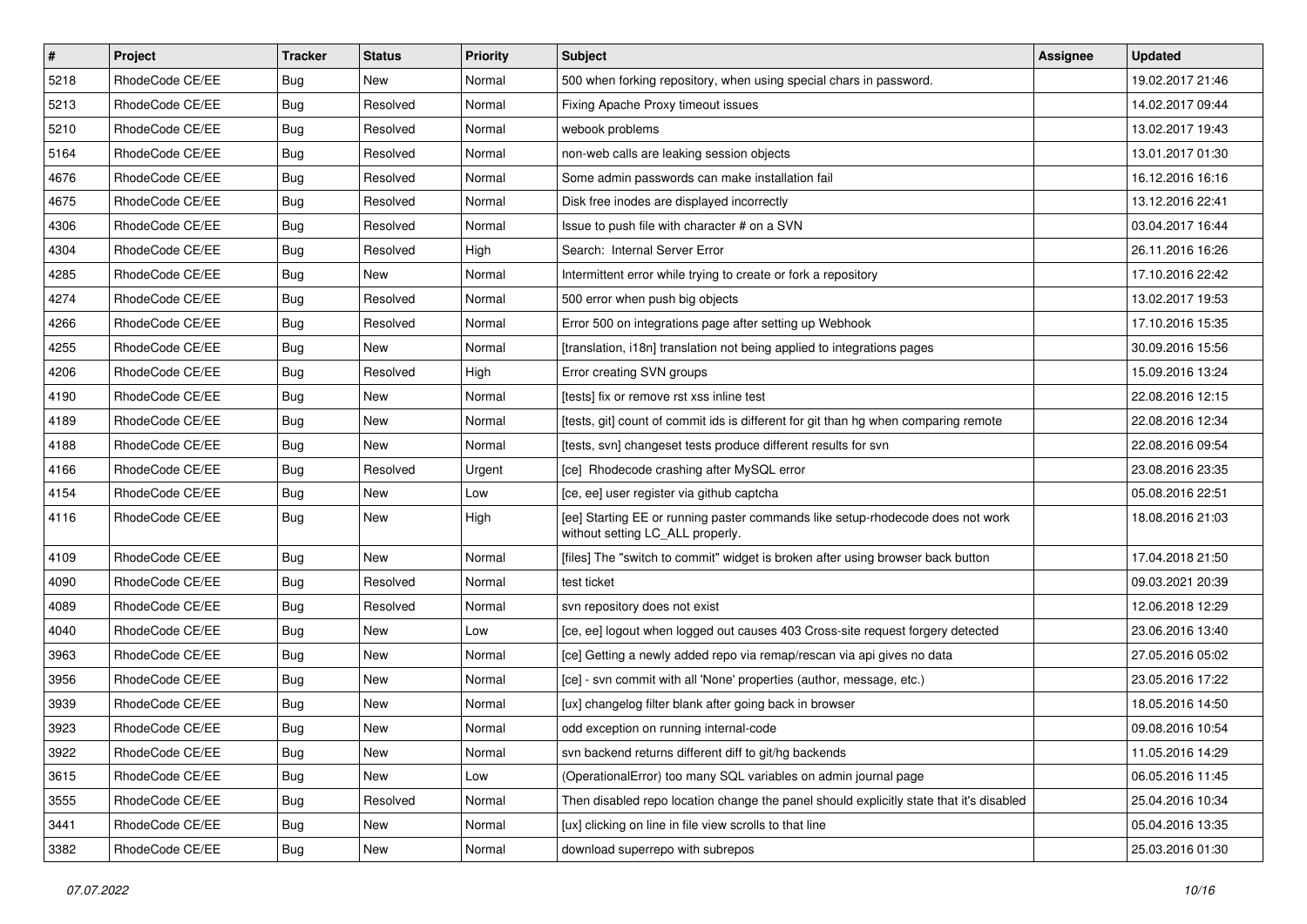| $\vert$ # | Project         | <b>Tracker</b> | <b>Status</b> | <b>Priority</b> | <b>Subject</b>                                                                                                     | <b>Assignee</b> | <b>Updated</b>   |
|-----------|-----------------|----------------|---------------|-----------------|--------------------------------------------------------------------------------------------------------------------|-----------------|------------------|
| 5218      | RhodeCode CE/EE | Bug            | New           | Normal          | 500 when forking repository, when using special chars in password.                                                 |                 | 19.02.2017 21:46 |
| 5213      | RhodeCode CE/EE | Bug            | Resolved      | Normal          | Fixing Apache Proxy timeout issues                                                                                 |                 | 14.02.2017 09:44 |
| 5210      | RhodeCode CE/EE | Bug            | Resolved      | Normal          | webook problems                                                                                                    |                 | 13.02.2017 19:43 |
| 5164      | RhodeCode CE/EE | <b>Bug</b>     | Resolved      | Normal          | non-web calls are leaking session objects                                                                          |                 | 13.01.2017 01:30 |
| 4676      | RhodeCode CE/EE | <b>Bug</b>     | Resolved      | Normal          | Some admin passwords can make installation fail                                                                    |                 | 16.12.2016 16:16 |
| 4675      | RhodeCode CE/EE | Bug            | Resolved      | Normal          | Disk free inodes are displayed incorrectly                                                                         |                 | 13.12.2016 22:41 |
| 4306      | RhodeCode CE/EE | Bug            | Resolved      | Normal          | Issue to push file with character # on a SVN                                                                       |                 | 03.04.2017 16:44 |
| 4304      | RhodeCode CE/EE | Bug            | Resolved      | High            | Search: Internal Server Error                                                                                      |                 | 26.11.2016 16:26 |
| 4285      | RhodeCode CE/EE | Bug            | New           | Normal          | Intermittent error while trying to create or fork a repository                                                     |                 | 17.10.2016 22:42 |
| 4274      | RhodeCode CE/EE | Bug            | Resolved      | Normal          | 500 error when push big objects                                                                                    |                 | 13.02.2017 19:53 |
| 4266      | RhodeCode CE/EE | Bug            | Resolved      | Normal          | Error 500 on integrations page after setting up Webhook                                                            |                 | 17.10.2016 15:35 |
| 4255      | RhodeCode CE/EE | Bug            | <b>New</b>    | Normal          | [translation, i18n] translation not being applied to integrations pages                                            |                 | 30.09.2016 15:56 |
| 4206      | RhodeCode CE/EE | Bug            | Resolved      | High            | Error creating SVN groups                                                                                          |                 | 15.09.2016 13:24 |
| 4190      | RhodeCode CE/EE | Bug            | New           | Normal          | [tests] fix or remove rst xss inline test                                                                          |                 | 22.08.2016 12:15 |
| 4189      | RhodeCode CE/EE | Bug            | New           | Normal          | Itests, git] count of commit ids is different for git than hg when comparing remote                                |                 | 22.08.2016 12:34 |
| 4188      | RhodeCode CE/EE | Bug            | New           | Normal          | [tests, svn] changeset tests produce different results for svn                                                     |                 | 22.08.2016 09:54 |
| 4166      | RhodeCode CE/EE | Bug            | Resolved      | Urgent          | [ce] Rhodecode crashing after MySQL error                                                                          |                 | 23.08.2016 23:35 |
| 4154      | RhodeCode CE/EE | <b>Bug</b>     | <b>New</b>    | Low             | [ce, ee] user register via github captcha                                                                          |                 | 05.08.2016 22:51 |
| 4116      | RhodeCode CE/EE | Bug            | New           | High            | [ee] Starting EE or running paster commands like setup-rhodecode does not work<br>without setting LC_ALL properly. |                 | 18.08.2016 21:03 |
| 4109      | RhodeCode CE/EE | Bug            | <b>New</b>    | Normal          | [files] The "switch to commit" widget is broken after using browser back button                                    |                 | 17.04.2018 21:50 |
| 4090      | RhodeCode CE/EE | Bug            | Resolved      | Normal          | test ticket                                                                                                        |                 | 09.03.2021 20:39 |
| 4089      | RhodeCode CE/EE | Bug            | Resolved      | Normal          | svn repository does not exist                                                                                      |                 | 12.06.2018 12:29 |
| 4040      | RhodeCode CE/EE | Bug            | New           | Low             | [ce, ee] logout when logged out causes 403 Cross-site request forgery detected                                     |                 | 23.06.2016 13:40 |
| 3963      | RhodeCode CE/EE | Bug            | New           | Normal          | [ce] Getting a newly added repo via remap/rescan via api gives no data                                             |                 | 27.05.2016 05:02 |
| 3956      | RhodeCode CE/EE | <b>Bug</b>     | <b>New</b>    | Normal          | [ce] - svn commit with all 'None' properties (author, message, etc.)                                               |                 | 23.05.2016 17:22 |
| 3939      | RhodeCode CE/EE | Bug            | New           | Normal          | [ux] changelog filter blank after going back in browser                                                            |                 | 18.05.2016 14:50 |
| 3923      | RhodeCode CE/EE | <b>Bug</b>     | <b>New</b>    | Normal          | odd exception on running internal-code                                                                             |                 | 09.08.2016 10:54 |
| 3922      | RhodeCode CE/EE | <b>Bug</b>     | New           | Normal          | svn backend returns different diff to git/hg backends                                                              |                 | 11.05.2016 14:29 |
| 3615      | RhodeCode CE/EE | Bug            | New           | Low             | (OperationalError) too many SQL variables on admin journal page                                                    |                 | 06.05.2016 11:45 |
| 3555      | RhodeCode CE/EE | <b>Bug</b>     | Resolved      | Normal          | Then disabled repo location change the panel should explicitly state that it's disabled                            |                 | 25.04.2016 10:34 |
| 3441      | RhodeCode CE/EE | <b>Bug</b>     | New           | Normal          | [ux] clicking on line in file view scrolls to that line                                                            |                 | 05.04.2016 13:35 |
| 3382      | RhodeCode CE/EE | Bug            | New           | Normal          | download superrepo with subrepos                                                                                   |                 | 25.03.2016 01:30 |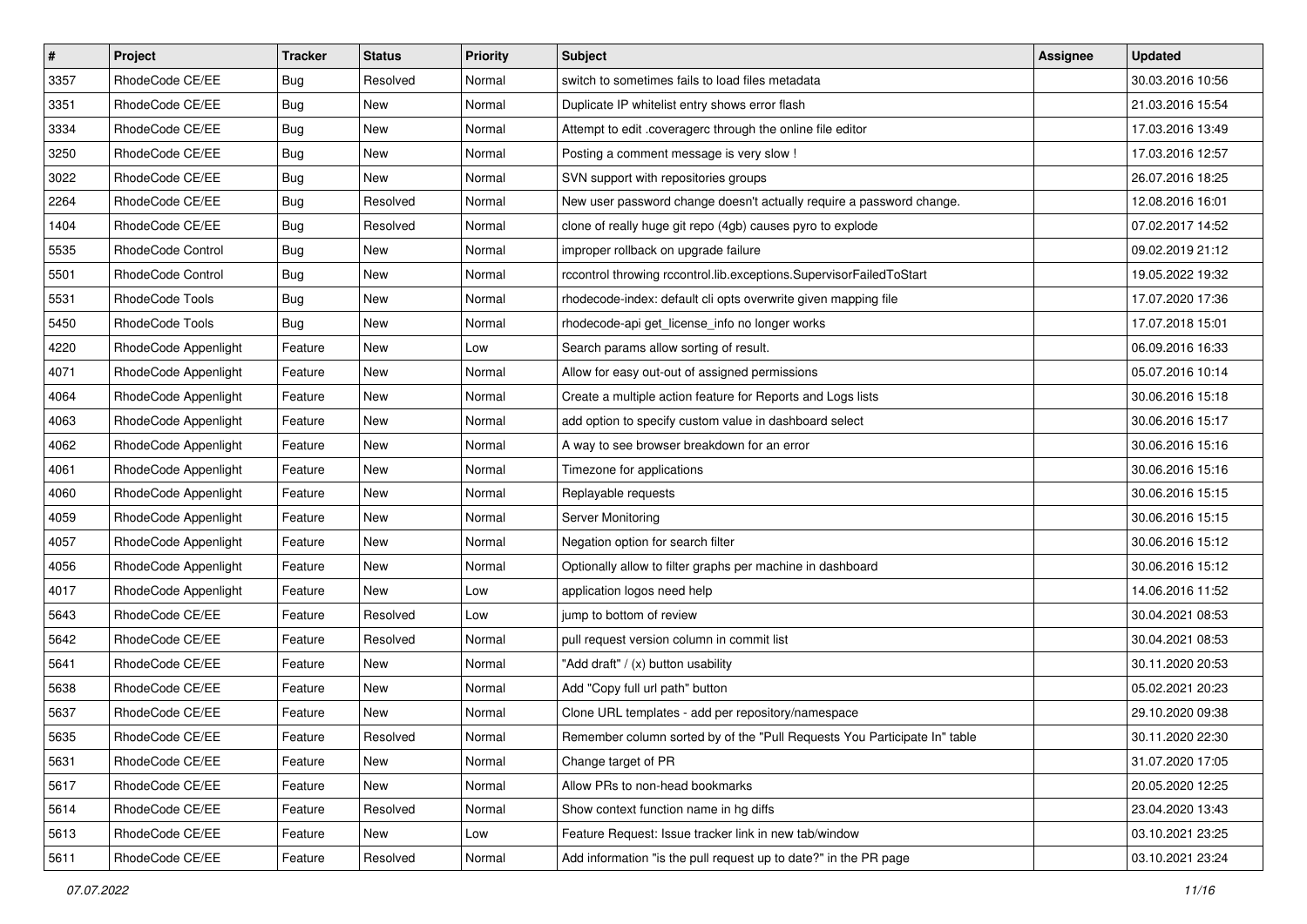| $\pmb{\#}$ | Project              | <b>Tracker</b> | <b>Status</b> | Priority | <b>Subject</b>                                                            | <b>Assignee</b> | <b>Updated</b>   |
|------------|----------------------|----------------|---------------|----------|---------------------------------------------------------------------------|-----------------|------------------|
| 3357       | RhodeCode CE/EE      | <b>Bug</b>     | Resolved      | Normal   | switch to sometimes fails to load files metadata                          |                 | 30.03.2016 10:56 |
| 3351       | RhodeCode CE/EE      | Bug            | New           | Normal   | Duplicate IP whitelist entry shows error flash                            |                 | 21.03.2016 15:54 |
| 3334       | RhodeCode CE/EE      | Bug            | New           | Normal   | Attempt to edit .coveragerc through the online file editor                |                 | 17.03.2016 13:49 |
| 3250       | RhodeCode CE/EE      | <b>Bug</b>     | New           | Normal   | Posting a comment message is very slow !                                  |                 | 17.03.2016 12:57 |
| 3022       | RhodeCode CE/EE      | Bug            | <b>New</b>    | Normal   | SVN support with repositories groups                                      |                 | 26.07.2016 18:25 |
| 2264       | RhodeCode CE/EE      | Bug            | Resolved      | Normal   | New user password change doesn't actually require a password change.      |                 | 12.08.2016 16:01 |
| 1404       | RhodeCode CE/EE      | Bug            | Resolved      | Normal   | clone of really huge git repo (4gb) causes pyro to explode                |                 | 07.02.2017 14:52 |
| 5535       | RhodeCode Control    | Bug            | New           | Normal   | improper rollback on upgrade failure                                      |                 | 09.02.2019 21:12 |
| 5501       | RhodeCode Control    | Bug            | New           | Normal   | rccontrol throwing rccontrol.lib.exceptions.SupervisorFailedToStart       |                 | 19.05.2022 19:32 |
| 5531       | RhodeCode Tools      | Bug            | New           | Normal   | rhodecode-index: default cli opts overwrite given mapping file            |                 | 17.07.2020 17:36 |
| 5450       | RhodeCode Tools      | Bug            | New           | Normal   | rhodecode-api get_license_info no longer works                            |                 | 17.07.2018 15:01 |
| 4220       | RhodeCode Appenlight | Feature        | New           | Low      | Search params allow sorting of result.                                    |                 | 06.09.2016 16:33 |
| 4071       | RhodeCode Appenlight | Feature        | New           | Normal   | Allow for easy out-out of assigned permissions                            |                 | 05.07.2016 10:14 |
| 4064       | RhodeCode Appenlight | Feature        | New           | Normal   | Create a multiple action feature for Reports and Logs lists               |                 | 30.06.2016 15:18 |
| 4063       | RhodeCode Appenlight | Feature        | New           | Normal   | add option to specify custom value in dashboard select                    |                 | 30.06.2016 15:17 |
| 4062       | RhodeCode Appenlight | Feature        | New           | Normal   | A way to see browser breakdown for an error                               |                 | 30.06.2016 15:16 |
| 4061       | RhodeCode Appenlight | Feature        | New           | Normal   | Timezone for applications                                                 |                 | 30.06.2016 15:16 |
| 4060       | RhodeCode Appenlight | Feature        | <b>New</b>    | Normal   | Replayable requests                                                       |                 | 30.06.2016 15:15 |
| 4059       | RhodeCode Appenlight | Feature        | New           | Normal   | Server Monitoring                                                         |                 | 30.06.2016 15:15 |
| 4057       | RhodeCode Appenlight | Feature        | New           | Normal   | Negation option for search filter                                         |                 | 30.06.2016 15:12 |
| 4056       | RhodeCode Appenlight | Feature        | New           | Normal   | Optionally allow to filter graphs per machine in dashboard                |                 | 30.06.2016 15:12 |
| 4017       | RhodeCode Appenlight | Feature        | New           | Low      | application logos need help                                               |                 | 14.06.2016 11:52 |
| 5643       | RhodeCode CE/EE      | Feature        | Resolved      | Low      | jump to bottom of review                                                  |                 | 30.04.2021 08:53 |
| 5642       | RhodeCode CE/EE      | Feature        | Resolved      | Normal   | pull request version column in commit list                                |                 | 30.04.2021 08:53 |
| 5641       | RhodeCode CE/EE      | Feature        | New           | Normal   | "Add draft" / (x) button usability                                        |                 | 30.11.2020 20:53 |
| 5638       | RhodeCode CE/EE      | Feature        | New           | Normal   | Add "Copy full url path" button                                           |                 | 05.02.2021 20:23 |
| 5637       | RhodeCode CE/EE      | Feature        | New           | Normal   | Clone URL templates - add per repository/namespace                        |                 | 29.10.2020 09:38 |
| 5635       | RhodeCode CE/EE      | Feature        | Resolved      | Normal   | Remember column sorted by of the "Pull Requests You Participate In" table |                 | 30.11.2020 22:30 |
| 5631       | RhodeCode CE/EE      | Feature        | New           | Normal   | Change target of PR                                                       |                 | 31.07.2020 17:05 |
| 5617       | RhodeCode CE/EE      | Feature        | New           | Normal   | Allow PRs to non-head bookmarks                                           |                 | 20.05.2020 12:25 |
| 5614       | RhodeCode CE/EE      | Feature        | Resolved      | Normal   | Show context function name in hg diffs                                    |                 | 23.04.2020 13:43 |
| 5613       | RhodeCode CE/EE      | Feature        | New           | Low      | Feature Request: Issue tracker link in new tab/window                     |                 | 03.10.2021 23:25 |
| 5611       | RhodeCode CE/EE      | Feature        | Resolved      | Normal   | Add information "is the pull request up to date?" in the PR page          |                 | 03.10.2021 23:24 |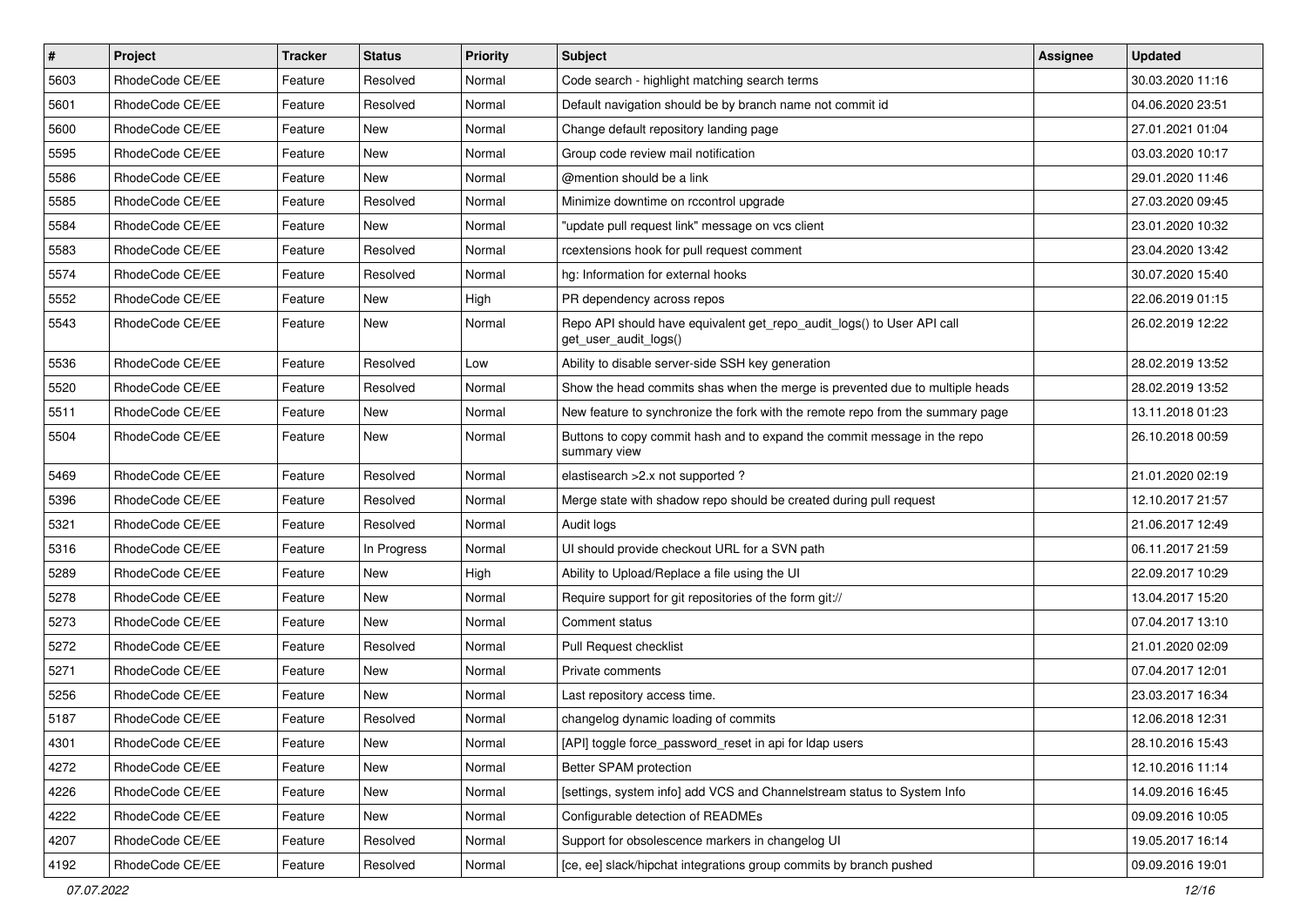| $\vert$ # | Project         | <b>Tracker</b> | <b>Status</b> | <b>Priority</b> | Subject                                                                                         | <b>Assignee</b> | <b>Updated</b>   |
|-----------|-----------------|----------------|---------------|-----------------|-------------------------------------------------------------------------------------------------|-----------------|------------------|
| 5603      | RhodeCode CE/EE | Feature        | Resolved      | Normal          | Code search - highlight matching search terms                                                   |                 | 30.03.2020 11:16 |
| 5601      | RhodeCode CE/EE | Feature        | Resolved      | Normal          | Default navigation should be by branch name not commit id                                       |                 | 04.06.2020 23:51 |
| 5600      | RhodeCode CE/EE | Feature        | New           | Normal          | Change default repository landing page                                                          |                 | 27.01.2021 01:04 |
| 5595      | RhodeCode CE/EE | Feature        | New           | Normal          | Group code review mail notification                                                             |                 | 03.03.2020 10:17 |
| 5586      | RhodeCode CE/EE | Feature        | New           | Normal          | @mention should be a link                                                                       |                 | 29.01.2020 11:46 |
| 5585      | RhodeCode CE/EE | Feature        | Resolved      | Normal          | Minimize downtime on rccontrol upgrade                                                          |                 | 27.03.2020 09:45 |
| 5584      | RhodeCode CE/EE | Feature        | New           | Normal          | "update pull request link" message on vcs client                                                |                 | 23.01.2020 10:32 |
| 5583      | RhodeCode CE/EE | Feature        | Resolved      | Normal          | rcextensions hook for pull request comment                                                      |                 | 23.04.2020 13:42 |
| 5574      | RhodeCode CE/EE | Feature        | Resolved      | Normal          | hg: Information for external hooks                                                              |                 | 30.07.2020 15:40 |
| 5552      | RhodeCode CE/EE | Feature        | <b>New</b>    | High            | PR dependency across repos                                                                      |                 | 22.06.2019 01:15 |
| 5543      | RhodeCode CE/EE | Feature        | New           | Normal          | Repo API should have equivalent get_repo_audit_logs() to User API call<br>get_user_audit_logs() |                 | 26.02.2019 12:22 |
| 5536      | RhodeCode CE/EE | Feature        | Resolved      | Low             | Ability to disable server-side SSH key generation                                               |                 | 28.02.2019 13:52 |
| 5520      | RhodeCode CE/EE | Feature        | Resolved      | Normal          | Show the head commits shas when the merge is prevented due to multiple heads                    |                 | 28.02.2019 13:52 |
| 5511      | RhodeCode CE/EE | Feature        | New           | Normal          | New feature to synchronize the fork with the remote repo from the summary page                  |                 | 13.11.2018 01:23 |
| 5504      | RhodeCode CE/EE | Feature        | New           | Normal          | Buttons to copy commit hash and to expand the commit message in the repo<br>summary view        |                 | 26.10.2018 00:59 |
| 5469      | RhodeCode CE/EE | Feature        | Resolved      | Normal          | elastisearch > 2.x not supported ?                                                              |                 | 21.01.2020 02:19 |
| 5396      | RhodeCode CE/EE | Feature        | Resolved      | Normal          | Merge state with shadow repo should be created during pull request                              |                 | 12.10.2017 21:57 |
| 5321      | RhodeCode CE/EE | Feature        | Resolved      | Normal          | Audit logs                                                                                      |                 | 21.06.2017 12:49 |
| 5316      | RhodeCode CE/EE | Feature        | In Progress   | Normal          | UI should provide checkout URL for a SVN path                                                   |                 | 06.11.2017 21:59 |
| 5289      | RhodeCode CE/EE | Feature        | New           | High            | Ability to Upload/Replace a file using the UI                                                   |                 | 22.09.2017 10:29 |
| 5278      | RhodeCode CE/EE | Feature        | New           | Normal          | Require support for git repositories of the form git://                                         |                 | 13.04.2017 15:20 |
| 5273      | RhodeCode CE/EE | Feature        | New           | Normal          | Comment status                                                                                  |                 | 07.04.2017 13:10 |
| 5272      | RhodeCode CE/EE | Feature        | Resolved      | Normal          | Pull Request checklist                                                                          |                 | 21.01.2020 02:09 |
| 5271      | RhodeCode CE/EE | Feature        | New           | Normal          | Private comments                                                                                |                 | 07.04.2017 12:01 |
| 5256      | RhodeCode CE/EE | Feature        | New           | Normal          | Last repository access time.                                                                    |                 | 23.03.2017 16:34 |
| 5187      | RhodeCode CE/EE | Feature        | Resolved      | Normal          | changelog dynamic loading of commits                                                            |                 | 12.06.2018 12:31 |
| 4301      | RhodeCode CE/EE | Feature        | New           | Normal          | [API] toggle force_password_reset in api for Idap users                                         |                 | 28.10.2016 15:43 |
| 4272      | RhodeCode CE/EE | Feature        | New           | Normal          | Better SPAM protection                                                                          |                 | 12.10.2016 11:14 |
| 4226      | RhodeCode CE/EE | Feature        | New           | Normal          | [settings, system info] add VCS and Channelstream status to System Info                         |                 | 14.09.2016 16:45 |
| 4222      | RhodeCode CE/EE | Feature        | New           | Normal          | Configurable detection of READMEs                                                               |                 | 09.09.2016 10:05 |
| 4207      | RhodeCode CE/EE | Feature        | Resolved      | Normal          | Support for obsolescence markers in changelog UI                                                |                 | 19.05.2017 16:14 |
| 4192      | RhodeCode CE/EE | Feature        | Resolved      | Normal          | [ce, ee] slack/hipchat integrations group commits by branch pushed                              |                 | 09.09.2016 19:01 |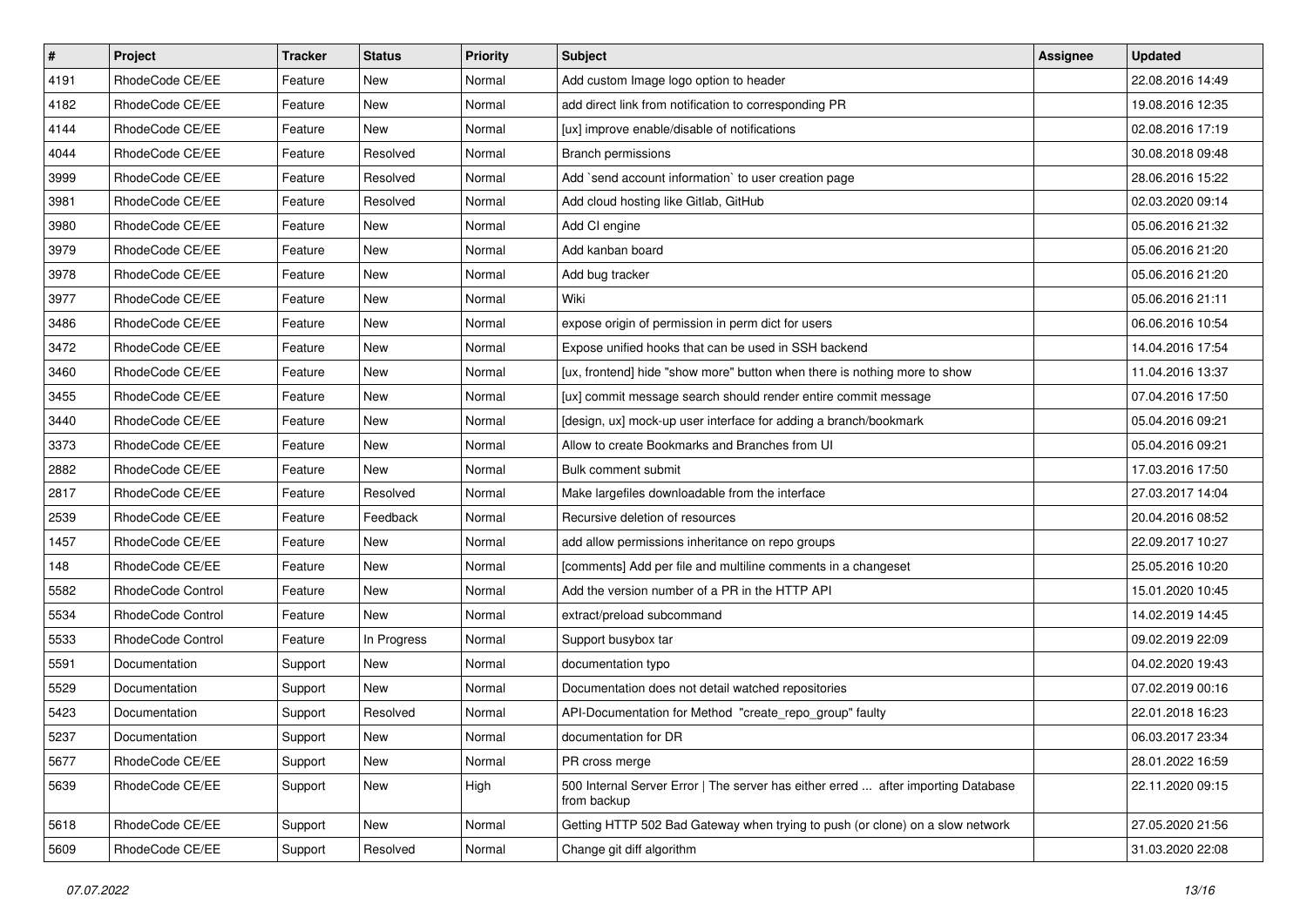| $\sharp$ | Project           | <b>Tracker</b> | <b>Status</b> | Priority | Subject                                                                                          | <b>Assignee</b> | <b>Updated</b>   |
|----------|-------------------|----------------|---------------|----------|--------------------------------------------------------------------------------------------------|-----------------|------------------|
| 4191     | RhodeCode CE/EE   | Feature        | New           | Normal   | Add custom Image logo option to header                                                           |                 | 22.08.2016 14:49 |
| 4182     | RhodeCode CE/EE   | Feature        | New           | Normal   | add direct link from notification to corresponding PR                                            |                 | 19.08.2016 12:35 |
| 4144     | RhodeCode CE/EE   | Feature        | New           | Normal   | [ux] improve enable/disable of notifications                                                     |                 | 02.08.2016 17:19 |
| 4044     | RhodeCode CE/EE   | Feature        | Resolved      | Normal   | Branch permissions                                                                               |                 | 30.08.2018 09:48 |
| 3999     | RhodeCode CE/EE   | Feature        | Resolved      | Normal   | Add `send account information` to user creation page                                             |                 | 28.06.2016 15:22 |
| 3981     | RhodeCode CE/EE   | Feature        | Resolved      | Normal   | Add cloud hosting like Gitlab, GitHub                                                            |                 | 02.03.2020 09:14 |
| 3980     | RhodeCode CE/EE   | Feature        | New           | Normal   | Add CI engine                                                                                    |                 | 05.06.2016 21:32 |
| 3979     | RhodeCode CE/EE   | Feature        | <b>New</b>    | Normal   | Add kanban board                                                                                 |                 | 05.06.2016 21:20 |
| 3978     | RhodeCode CE/EE   | Feature        | <b>New</b>    | Normal   | Add bug tracker                                                                                  |                 | 05.06.2016 21:20 |
| 3977     | RhodeCode CE/EE   | Feature        | <b>New</b>    | Normal   | Wiki                                                                                             |                 | 05.06.2016 21:11 |
| 3486     | RhodeCode CE/EE   | Feature        | New           | Normal   | expose origin of permission in perm dict for users                                               |                 | 06.06.2016 10:54 |
| 3472     | RhodeCode CE/EE   | Feature        | New           | Normal   | Expose unified hooks that can be used in SSH backend                                             |                 | 14.04.2016 17:54 |
| 3460     | RhodeCode CE/EE   | Feature        | <b>New</b>    | Normal   | [ux, frontend] hide "show more" button when there is nothing more to show                        |                 | 11.04.2016 13:37 |
| 3455     | RhodeCode CE/EE   | Feature        | New           | Normal   | [ux] commit message search should render entire commit message                                   |                 | 07.04.2016 17:50 |
| 3440     | RhodeCode CE/EE   | Feature        | New           | Normal   | [design, ux] mock-up user interface for adding a branch/bookmark                                 |                 | 05.04.2016 09:21 |
| 3373     | RhodeCode CE/EE   | Feature        | New           | Normal   | Allow to create Bookmarks and Branches from UI                                                   |                 | 05.04.2016 09:21 |
| 2882     | RhodeCode CE/EE   | Feature        | New           | Normal   | Bulk comment submit                                                                              |                 | 17.03.2016 17:50 |
| 2817     | RhodeCode CE/EE   | Feature        | Resolved      | Normal   | Make largefiles downloadable from the interface                                                  |                 | 27.03.2017 14:04 |
| 2539     | RhodeCode CE/EE   | Feature        | Feedback      | Normal   | Recursive deletion of resources                                                                  |                 | 20.04.2016 08:52 |
| 1457     | RhodeCode CE/EE   | Feature        | New           | Normal   | add allow permissions inheritance on repo groups                                                 |                 | 22.09.2017 10:27 |
| 148      | RhodeCode CE/EE   | Feature        | New           | Normal   | [comments] Add per file and multiline comments in a changeset                                    |                 | 25.05.2016 10:20 |
| 5582     | RhodeCode Control | Feature        | <b>New</b>    | Normal   | Add the version number of a PR in the HTTP API                                                   |                 | 15.01.2020 10:45 |
| 5534     | RhodeCode Control | Feature        | New           | Normal   | extract/preload subcommand                                                                       |                 | 14.02.2019 14:45 |
| 5533     | RhodeCode Control | Feature        | In Progress   | Normal   | Support busybox tar                                                                              |                 | 09.02.2019 22:09 |
| 5591     | Documentation     | Support        | New           | Normal   | documentation typo                                                                               |                 | 04.02.2020 19:43 |
| 5529     | Documentation     | Support        | <b>New</b>    | Normal   | Documentation does not detail watched repositories                                               |                 | 07.02.2019 00:16 |
| 5423     | Documentation     | Support        | Resolved      | Normal   | API-Documentation for Method "create repo group" faulty                                          |                 | 22.01.2018 16:23 |
| 5237     | Documentation     | Support        | New           | Normal   | documentation for DR                                                                             |                 | 06.03.2017 23:34 |
| 5677     | RhodeCode CE/EE   | Support        | New           | Normal   | PR cross merge                                                                                   |                 | 28.01.2022 16:59 |
| 5639     | RhodeCode CE/EE   | Support        | New           | High     | 500 Internal Server Error   The server has either erred  after importing Database<br>from backup |                 | 22.11.2020 09:15 |
| 5618     | RhodeCode CE/EE   | Support        | New           | Normal   | Getting HTTP 502 Bad Gateway when trying to push (or clone) on a slow network                    |                 | 27.05.2020 21:56 |
| 5609     | RhodeCode CE/EE   | Support        | Resolved      | Normal   | Change git diff algorithm                                                                        |                 | 31.03.2020 22:08 |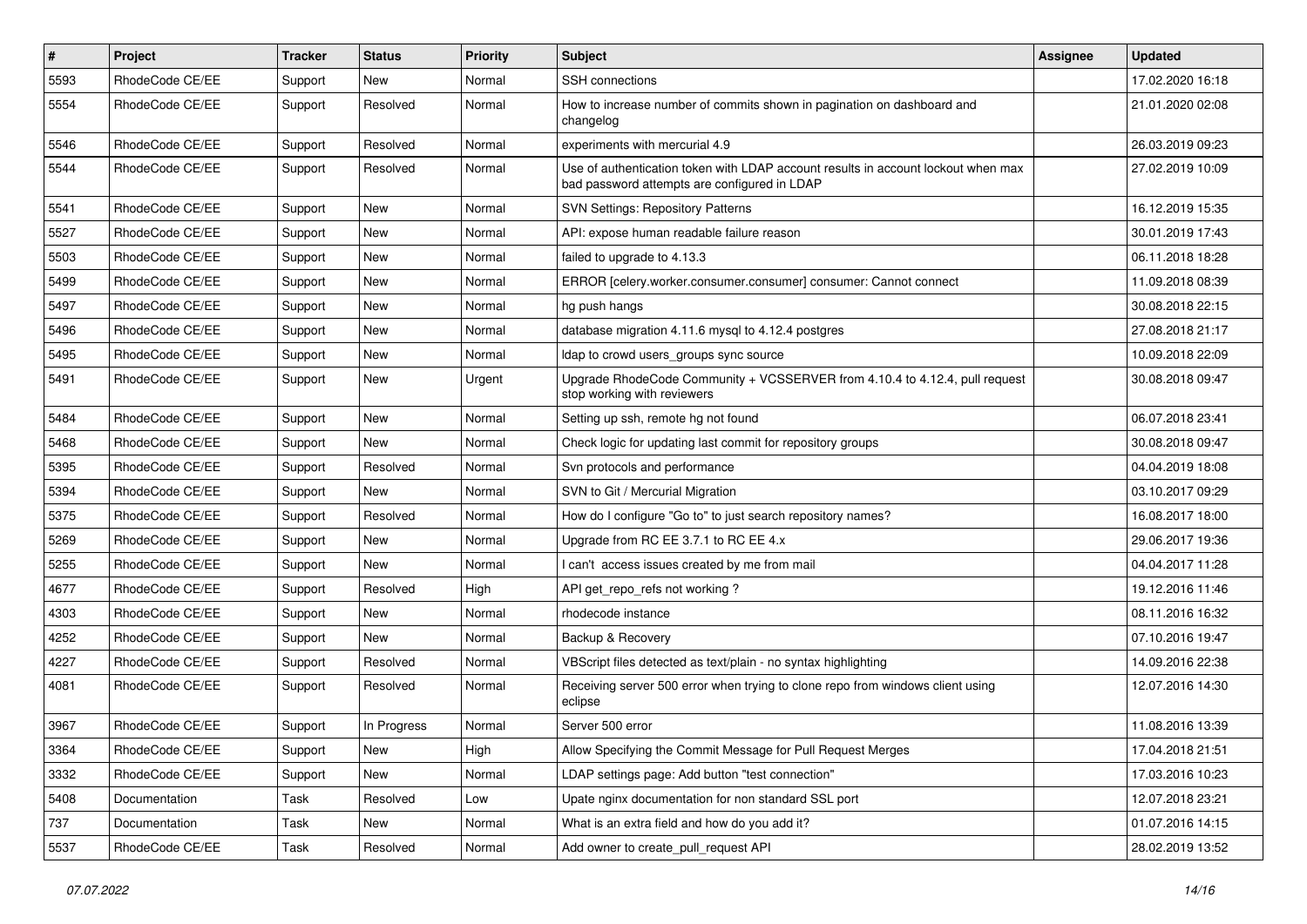| $\#$ | Project         | <b>Tracker</b> | <b>Status</b> | <b>Priority</b> | <b>Subject</b>                                                                                                                    | Assignee | <b>Updated</b>   |
|------|-----------------|----------------|---------------|-----------------|-----------------------------------------------------------------------------------------------------------------------------------|----------|------------------|
| 5593 | RhodeCode CE/EE | Support        | New           | Normal          | SSH connections                                                                                                                   |          | 17.02.2020 16:18 |
| 5554 | RhodeCode CE/EE | Support        | Resolved      | Normal          | How to increase number of commits shown in pagination on dashboard and<br>changelog                                               |          | 21.01.2020 02:08 |
| 5546 | RhodeCode CE/EE | Support        | Resolved      | Normal          | experiments with mercurial 4.9                                                                                                    |          | 26.03.2019 09:23 |
| 5544 | RhodeCode CE/EE | Support        | Resolved      | Normal          | Use of authentication token with LDAP account results in account lockout when max<br>bad password attempts are configured in LDAP |          | 27.02.2019 10:09 |
| 5541 | RhodeCode CE/EE | Support        | <b>New</b>    | Normal          | <b>SVN Settings: Repository Patterns</b>                                                                                          |          | 16.12.2019 15:35 |
| 5527 | RhodeCode CE/EE | Support        | New           | Normal          | API: expose human readable failure reason                                                                                         |          | 30.01.2019 17:43 |
| 5503 | RhodeCode CE/EE | Support        | <b>New</b>    | Normal          | failed to upgrade to 4.13.3                                                                                                       |          | 06.11.2018 18:28 |
| 5499 | RhodeCode CE/EE | Support        | <b>New</b>    | Normal          | ERROR [celery.worker.consumer.consumer] consumer: Cannot connect                                                                  |          | 11.09.2018 08:39 |
| 5497 | RhodeCode CE/EE | Support        | New           | Normal          | hg push hangs                                                                                                                     |          | 30.08.2018 22:15 |
| 5496 | RhodeCode CE/EE | Support        | New           | Normal          | database migration 4.11.6 mysql to 4.12.4 postgres                                                                                |          | 27.08.2018 21:17 |
| 5495 | RhodeCode CE/EE | Support        | New           | Normal          | Idap to crowd users_groups sync source                                                                                            |          | 10.09.2018 22:09 |
| 5491 | RhodeCode CE/EE | Support        | New           | Urgent          | Upgrade RhodeCode Community + VCSSERVER from 4.10.4 to 4.12.4, pull request<br>stop working with reviewers                        |          | 30.08.2018 09:47 |
| 5484 | RhodeCode CE/EE | Support        | New           | Normal          | Setting up ssh, remote hg not found                                                                                               |          | 06.07.2018 23:41 |
| 5468 | RhodeCode CE/EE | Support        | <b>New</b>    | Normal          | Check logic for updating last commit for repository groups                                                                        |          | 30.08.2018 09:47 |
| 5395 | RhodeCode CE/EE | Support        | Resolved      | Normal          | Svn protocols and performance                                                                                                     |          | 04.04.2019 18:08 |
| 5394 | RhodeCode CE/EE | Support        | <b>New</b>    | Normal          | SVN to Git / Mercurial Migration                                                                                                  |          | 03.10.2017 09:29 |
| 5375 | RhodeCode CE/EE | Support        | Resolved      | Normal          | How do I configure "Go to" to just search repository names?                                                                       |          | 16.08.2017 18:00 |
| 5269 | RhodeCode CE/EE | Support        | New           | Normal          | Upgrade from RC EE 3.7.1 to RC EE 4.x                                                                                             |          | 29.06.2017 19:36 |
| 5255 | RhodeCode CE/EE | Support        | New           | Normal          | I can't access issues created by me from mail                                                                                     |          | 04.04.2017 11:28 |
| 4677 | RhodeCode CE/EE | Support        | Resolved      | High            | API get_repo_refs not working?                                                                                                    |          | 19.12.2016 11:46 |
| 4303 | RhodeCode CE/EE | Support        | New           | Normal          | rhodecode instance                                                                                                                |          | 08.11.2016 16:32 |
| 4252 | RhodeCode CE/EE | Support        | New           | Normal          | Backup & Recovery                                                                                                                 |          | 07.10.2016 19:47 |
| 4227 | RhodeCode CE/EE | Support        | Resolved      | Normal          | VBScript files detected as text/plain - no syntax highlighting                                                                    |          | 14.09.2016 22:38 |
| 4081 | RhodeCode CE/EE | Support        | Resolved      | Normal          | Receiving server 500 error when trying to clone repo from windows client using<br>eclipse                                         |          | 12.07.2016 14:30 |
| 3967 | RhodeCode CE/EE | Support        | In Progress   | Normal          | Server 500 error                                                                                                                  |          | 11.08.2016 13:39 |
| 3364 | RhodeCode CE/EE | Support        | New           | High            | Allow Specifying the Commit Message for Pull Request Merges                                                                       |          | 17.04.2018 21:51 |
| 3332 | RhodeCode CE/EE | Support        | New           | Normal          | LDAP settings page: Add button "test connection"                                                                                  |          | 17.03.2016 10:23 |
| 5408 | Documentation   | Task           | Resolved      | Low             | Upate nginx documentation for non standard SSL port                                                                               |          | 12.07.2018 23:21 |
| 737  | Documentation   | Task           | New           | Normal          | What is an extra field and how do you add it?                                                                                     |          | 01.07.2016 14:15 |
| 5537 | RhodeCode CE/EE | Task           | Resolved      | Normal          | Add owner to create_pull_request API                                                                                              |          | 28.02.2019 13:52 |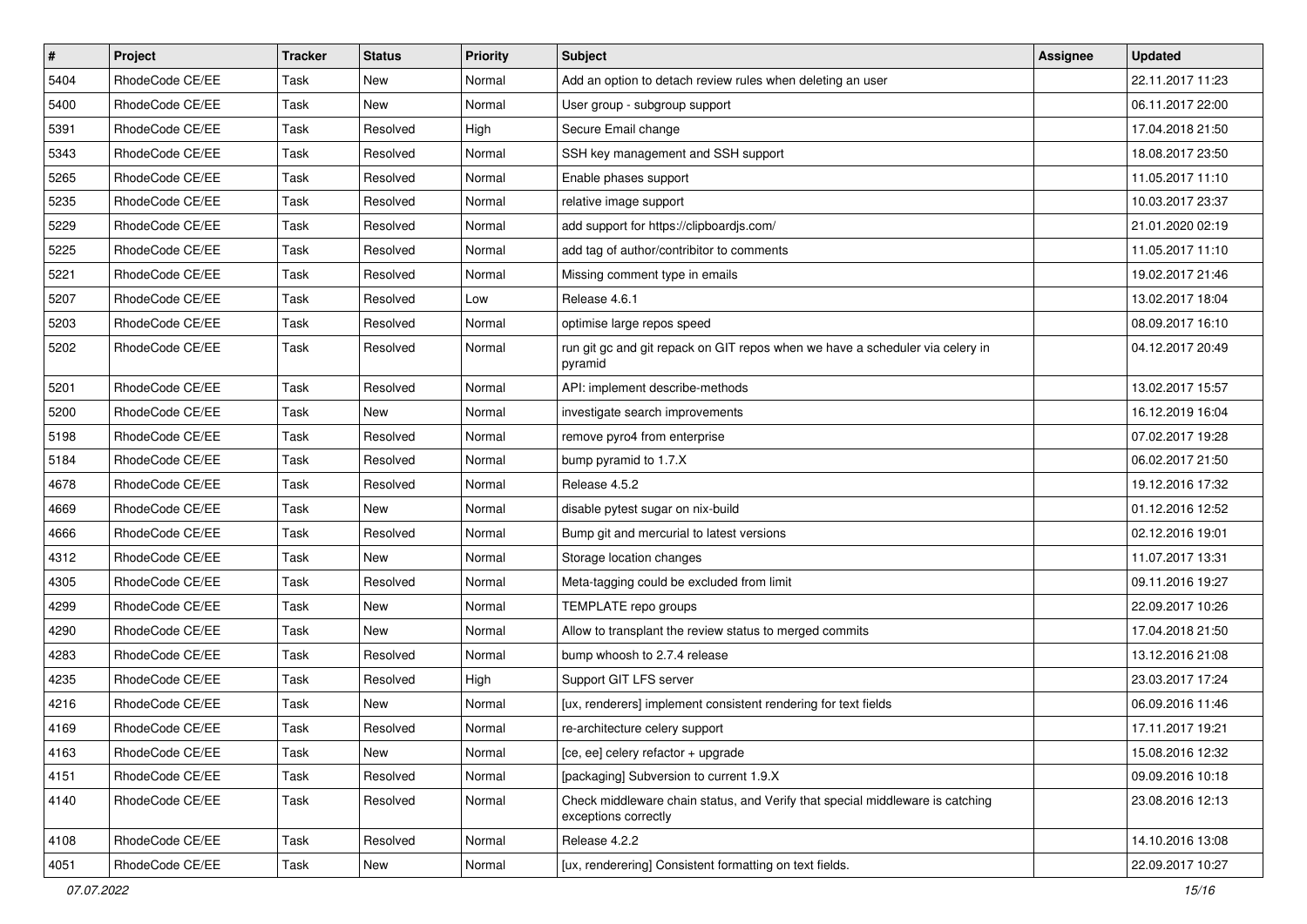| $\sharp$ | Project         | <b>Tracker</b> | <b>Status</b> | <b>Priority</b> | <b>Subject</b>                                                                                        | <b>Assignee</b> | <b>Updated</b>   |
|----------|-----------------|----------------|---------------|-----------------|-------------------------------------------------------------------------------------------------------|-----------------|------------------|
| 5404     | RhodeCode CE/EE | Task           | New           | Normal          | Add an option to detach review rules when deleting an user                                            |                 | 22.11.2017 11:23 |
| 5400     | RhodeCode CE/EE | Task           | New           | Normal          | User group - subgroup support                                                                         |                 | 06.11.2017 22:00 |
| 5391     | RhodeCode CE/EE | Task           | Resolved      | High            | Secure Email change                                                                                   |                 | 17.04.2018 21:50 |
| 5343     | RhodeCode CE/EE | Task           | Resolved      | Normal          | SSH key management and SSH support                                                                    |                 | 18.08.2017 23:50 |
| 5265     | RhodeCode CE/EE | <b>Task</b>    | Resolved      | Normal          | Enable phases support                                                                                 |                 | 11.05.2017 11:10 |
| 5235     | RhodeCode CE/EE | Task           | Resolved      | Normal          | relative image support                                                                                |                 | 10.03.2017 23:37 |
| 5229     | RhodeCode CE/EE | Task           | Resolved      | Normal          | add support for https://clipboardjs.com/                                                              |                 | 21.01.2020 02:19 |
| 5225     | RhodeCode CE/EE | Task           | Resolved      | Normal          | add tag of author/contribitor to comments                                                             |                 | 11.05.2017 11:10 |
| 5221     | RhodeCode CE/EE | Task           | Resolved      | Normal          | Missing comment type in emails                                                                        |                 | 19.02.2017 21:46 |
| 5207     | RhodeCode CE/EE | Task           | Resolved      | Low             | Release 4.6.1                                                                                         |                 | 13.02.2017 18:04 |
| 5203     | RhodeCode CE/EE | Task           | Resolved      | Normal          | optimise large repos speed                                                                            |                 | 08.09.2017 16:10 |
| 5202     | RhodeCode CE/EE | Task           | Resolved      | Normal          | run git gc and git repack on GIT repos when we have a scheduler via celery in<br>pyramid              |                 | 04.12.2017 20:49 |
| 5201     | RhodeCode CE/EE | Task           | Resolved      | Normal          | API: implement describe-methods                                                                       |                 | 13.02.2017 15:57 |
| 5200     | RhodeCode CE/EE | Task           | New           | Normal          | investigate search improvements                                                                       |                 | 16.12.2019 16:04 |
| 5198     | RhodeCode CE/EE | Task           | Resolved      | Normal          | remove pyro4 from enterprise                                                                          |                 | 07.02.2017 19:28 |
| 5184     | RhodeCode CE/EE | Task           | Resolved      | Normal          | bump pyramid to 1.7.X                                                                                 |                 | 06.02.2017 21:50 |
| 4678     | RhodeCode CE/EE | Task           | Resolved      | Normal          | Release 4.5.2                                                                                         |                 | 19.12.2016 17:32 |
| 4669     | RhodeCode CE/EE | Task           | <b>New</b>    | Normal          | disable pytest sugar on nix-build                                                                     |                 | 01.12.2016 12:52 |
| 4666     | RhodeCode CE/EE | Task           | Resolved      | Normal          | Bump git and mercurial to latest versions                                                             |                 | 02.12.2016 19:01 |
| 4312     | RhodeCode CE/EE | Task           | <b>New</b>    | Normal          | Storage location changes                                                                              |                 | 11.07.2017 13:31 |
| 4305     | RhodeCode CE/EE | Task           | Resolved      | Normal          | Meta-tagging could be excluded from limit                                                             |                 | 09.11.2016 19:27 |
| 4299     | RhodeCode CE/EE | Task           | <b>New</b>    | Normal          | TEMPLATE repo groups                                                                                  |                 | 22.09.2017 10:26 |
| 4290     | RhodeCode CE/EE | Task           | <b>New</b>    | Normal          | Allow to transplant the review status to merged commits                                               |                 | 17.04.2018 21:50 |
| 4283     | RhodeCode CE/EE | Task           | Resolved      | Normal          | bump whoosh to 2.7.4 release                                                                          |                 | 13.12.2016 21:08 |
| 4235     | RhodeCode CE/EE | Task           | Resolved      | High            | Support GIT LFS server                                                                                |                 | 23.03.2017 17:24 |
| 4216     | RhodeCode CE/EE | Task           | New           | Normal          | [ux, renderers] implement consistent rendering for text fields                                        |                 | 06.09.2016 11:46 |
| 4169     | RhodeCode CE/EE | Task           | Resolved      | Normal          | re-architecture celery support                                                                        |                 | 17.11.2017 19:21 |
| 4163     | RhodeCode CE/EE | Task           | New           | Normal          | [ce, ee] celery refactor + upgrade                                                                    |                 | 15.08.2016 12:32 |
| 4151     | RhodeCode CE/EE | Task           | Resolved      | Normal          | [packaging] Subversion to current 1.9.X                                                               |                 | 09.09.2016 10:18 |
| 4140     | RhodeCode CE/EE | Task           | Resolved      | Normal          | Check middleware chain status, and Verify that special middleware is catching<br>exceptions correctly |                 | 23.08.2016 12:13 |
| 4108     | RhodeCode CE/EE | Task           | Resolved      | Normal          | Release 4.2.2                                                                                         |                 | 14.10.2016 13:08 |
| 4051     | RhodeCode CE/EE | Task           | New           | Normal          | [ux, renderering] Consistent formatting on text fields.                                               |                 | 22.09.2017 10:27 |